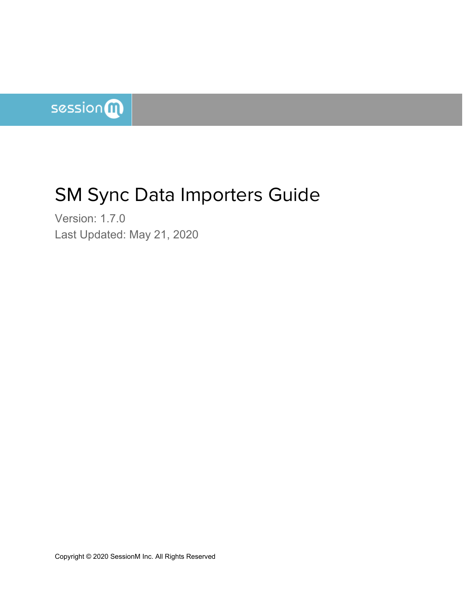

# SM Sync Data Importers Guide

Version: 1.7.0 Last Updated: May 21, 2020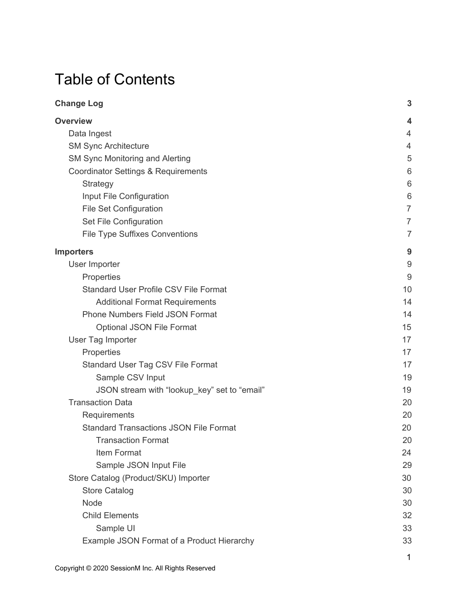# Table of Contents

| <b>Change Log</b>                              | 3              |
|------------------------------------------------|----------------|
| <b>Overview</b>                                | 4              |
| Data Ingest                                    | 4              |
| <b>SM Sync Architecture</b>                    | $\overline{4}$ |
| SM Sync Monitoring and Alerting                | 5              |
| <b>Coordinator Settings &amp; Requirements</b> | 6              |
| Strategy                                       | 6              |
| Input File Configuration                       | 6              |
| <b>File Set Configuration</b>                  | $\overline{7}$ |
| Set File Configuration                         | $\overline{7}$ |
| <b>File Type Suffixes Conventions</b>          | $\overline{7}$ |
| <b>Importers</b>                               | 9              |
| User Importer                                  | 9              |
| Properties                                     | 9              |
| <b>Standard User Profile CSV File Format</b>   | 10             |
| <b>Additional Format Requirements</b>          | 14             |
| <b>Phone Numbers Field JSON Format</b>         | 14             |
| <b>Optional JSON File Format</b>               | 15             |
| User Tag Importer                              | 17             |
| Properties                                     | 17             |
| <b>Standard User Tag CSV File Format</b>       | 17             |
| Sample CSV Input                               | 19             |
| JSON stream with "lookup_key" set to "email"   | 19             |
| <b>Transaction Data</b>                        | 20             |
| Requirements                                   | 20             |
| <b>Standard Transactions JSON File Format</b>  | 20             |
| <b>Transaction Format</b>                      | 20             |
| Item Format                                    | 24             |
| Sample JSON Input File                         | 29             |
| Store Catalog (Product/SKU) Importer           | 30             |
| <b>Store Catalog</b>                           | 30             |
| Node                                           | 30             |
| <b>Child Elements</b>                          | 32             |
| Sample UI                                      | 33             |
| Example JSON Format of a Product Hierarchy     | 33             |

1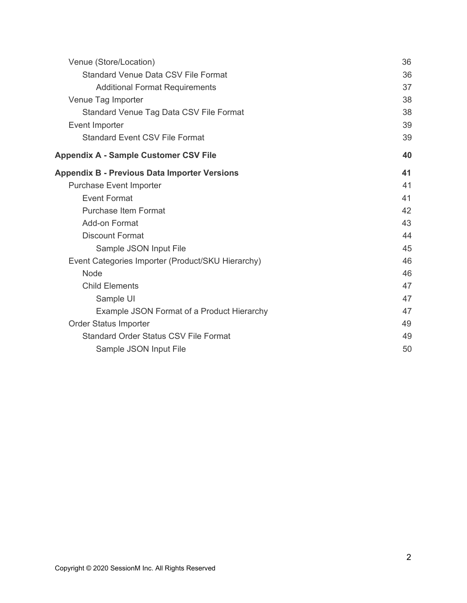| Venue (Store/Location)                              | 36 |
|-----------------------------------------------------|----|
| <b>Standard Venue Data CSV File Format</b>          | 36 |
| <b>Additional Format Requirements</b>               | 37 |
| Venue Tag Importer                                  | 38 |
| Standard Venue Tag Data CSV File Format             | 38 |
| <b>Event Importer</b>                               | 39 |
| <b>Standard Event CSV File Format</b>               | 39 |
| <b>Appendix A - Sample Customer CSV File</b>        | 40 |
| <b>Appendix B - Previous Data Importer Versions</b> | 41 |
| Purchase Event Importer                             | 41 |
| <b>Event Format</b>                                 | 41 |
| <b>Purchase Item Format</b>                         | 42 |
| Add-on Format                                       | 43 |
| <b>Discount Format</b>                              | 44 |
| Sample JSON Input File                              | 45 |
| Event Categories Importer (Product/SKU Hierarchy)   | 46 |
| Node                                                | 46 |
| <b>Child Elements</b>                               | 47 |
| Sample UI                                           | 47 |
| Example JSON Format of a Product Hierarchy          | 47 |
| Order Status Importer                               | 49 |
| <b>Standard Order Status CSV File Format</b>        | 49 |
| Sample JSON Input File                              | 50 |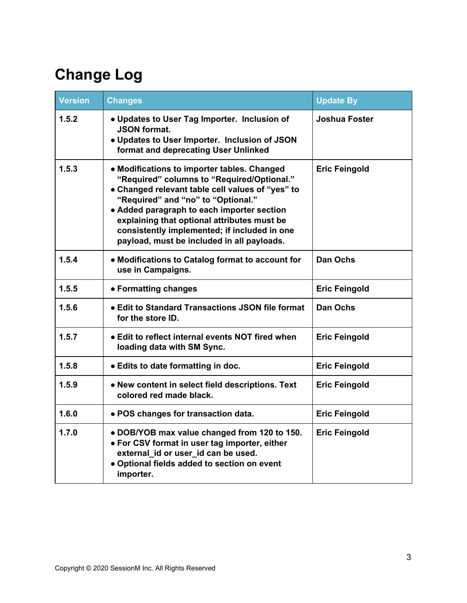# <span id="page-3-0"></span>**Change Log**

| <b>Version</b> | <b>Changes</b>                                                                                                                                                                                                                                                                                                                                                                 | <b>Update By</b>     |
|----------------|--------------------------------------------------------------------------------------------------------------------------------------------------------------------------------------------------------------------------------------------------------------------------------------------------------------------------------------------------------------------------------|----------------------|
| 1.5.2          | • Updates to User Tag Importer. Inclusion of<br><b>JSON format.</b><br>. Updates to User Importer. Inclusion of JSON<br>format and deprecating User Unlinked                                                                                                                                                                                                                   | <b>Joshua Foster</b> |
| 1.5.3          | • Modifications to importer tables. Changed<br>"Required" columns to "Required/Optional."<br>• Changed relevant table cell values of "yes" to<br>"Required" and "no" to "Optional."<br>• Added paragraph to each importer section<br>explaining that optional attributes must be<br>consistently implemented; if included in one<br>payload, must be included in all payloads. | <b>Eric Feingold</b> |
| 1.5.4          | • Modifications to Catalog format to account for<br>use in Campaigns.                                                                                                                                                                                                                                                                                                          | <b>Dan Ochs</b>      |
| 1.5.5          | • Formatting changes                                                                                                                                                                                                                                                                                                                                                           | <b>Eric Feingold</b> |
| 1.5.6          | • Edit to Standard Transactions JSON file format<br>for the store ID.                                                                                                                                                                                                                                                                                                          | <b>Dan Ochs</b>      |
| 1.5.7          | • Edit to reflect internal events NOT fired when<br>loading data with SM Sync.                                                                                                                                                                                                                                                                                                 | <b>Eric Feingold</b> |
| 1.5.8          | • Edits to date formatting in doc.                                                                                                                                                                                                                                                                                                                                             | <b>Eric Feingold</b> |
| 1.5.9          | • New content in select field descriptions. Text<br>colored red made black.                                                                                                                                                                                                                                                                                                    | <b>Eric Feingold</b> |
| 1.6.0          | • POS changes for transaction data.                                                                                                                                                                                                                                                                                                                                            | <b>Eric Feingold</b> |
| 1.7.0          | . DOB/YOB max value changed from 120 to 150.<br>• For CSV format in user tag importer, either<br>external_id or user_id can be used.<br>• Optional fields added to section on event<br>importer.                                                                                                                                                                               | <b>Eric Feingold</b> |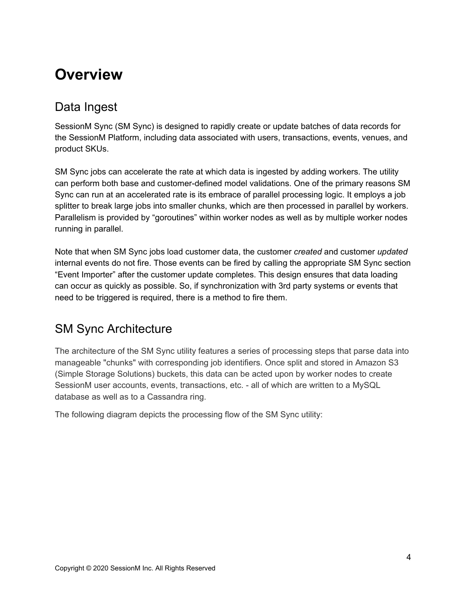# <span id="page-4-0"></span>**Overview**

# <span id="page-4-1"></span>Data Ingest

SessionM Sync (SM Sync) is designed to rapidly create or update batches of data records for the SessionM Platform, including data associated with users, transactions, events, venues, and product SKUs.

SM Sync jobs can accelerate the rate at which data is ingested by adding workers. The utility can perform both base and customer-defined model validations. One of the primary reasons SM Sync can run at an accelerated rate is its embrace of parallel processing logic. It employs a job splitter to break large jobs into smaller chunks, which are then processed in parallel by workers. Parallelism is provided by "goroutines" within worker nodes as well as by multiple worker nodes running in parallel.

Note that when SM Sync jobs load customer data, the customer *created* and customer *updated* internal events do not fire. Those events can be fired by calling the appropriate SM Sync section "Event Importer" after the customer update completes. This design ensures that data loading can occur as quickly as possible. So, if synchronization with 3rd party systems or events that need to be triggered is required, there is a method to fire them.

# <span id="page-4-2"></span>SM Sync Architecture

The architecture of the SM Sync utility features a series of processing steps that parse data into manageable "chunks" with corresponding job identifiers. Once split and stored in Amazon S3 (Simple Storage Solutions) buckets, this data can be acted upon by worker nodes to create SessionM user accounts, events, transactions, etc. - all of which are written to a MySQL database as well as to a Cassandra ring.

The following diagram depicts the processing flow of the SM Sync utility: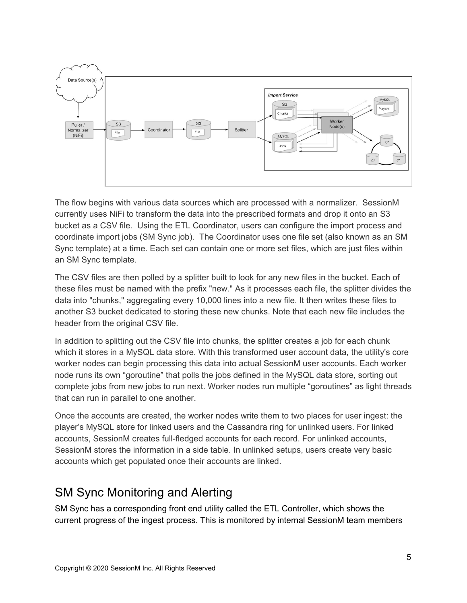

The flow begins with various data sources which are processed with a normalizer. SessionM currently uses NiFi to transform the data into the prescribed formats and drop it onto an S3 bucket as a CSV file. Using the ETL Coordinator, users can configure the import process and coordinate import jobs (SM Sync job). The Coordinator uses one file set (also known as an SM Sync template) at a time. Each set can contain one or more set files, which are just files within an SM Sync template.

The CSV files are then polled by a splitter built to look for any new files in the bucket. Each of these files must be named with the prefix "new." As it processes each file, the splitter divides the data into "chunks," aggregating every 10,000 lines into a new file. It then writes these files to another S3 bucket dedicated to storing these new chunks. Note that each new file includes the header from the original CSV file.

In addition to splitting out the CSV file into chunks, the splitter creates a job for each chunk which it stores in a MySQL data store. With this transformed user account data, the utility's core worker nodes can begin processing this data into actual SessionM user accounts. Each worker node runs its own "goroutine" that polls the jobs defined in the MySQL data store, sorting out complete jobs from new jobs to run next. Worker nodes run multiple "goroutines" as light threads that can run in parallel to one another.

Once the accounts are created, the worker nodes write them to two places for user ingest: the player's MySQL store for linked users and the Cassandra ring for unlinked users. For linked accounts, SessionM creates full-fledged accounts for each record. For unlinked accounts, SessionM stores the information in a side table. In unlinked setups, users create very basic accounts which get populated once their accounts are linked.

# <span id="page-5-0"></span>SM Sync Monitoring and Alerting

SM Sync has a corresponding front end utility called the ETL Controller, which shows the current progress of the ingest process. This is monitored by internal SessionM team members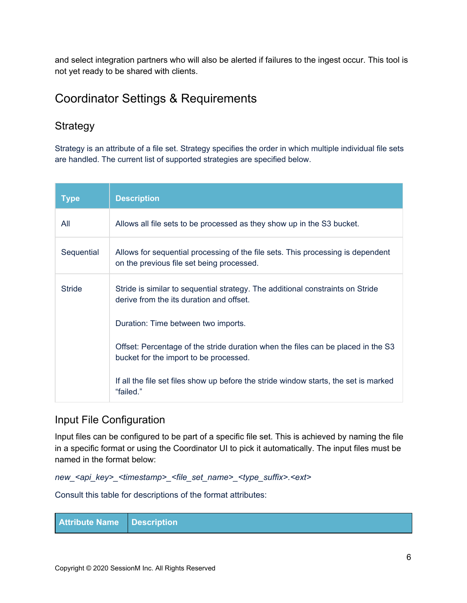and select integration partners who will also be alerted if failures to the ingest occur. This tool is not yet ready to be shared with clients.

# <span id="page-6-0"></span>Coordinator Settings & Requirements

#### <span id="page-6-1"></span>**Strategy**

Strategy is an attribute of a file set. Strategy specifies the order in which multiple individual file sets are handled. The current list of supported strategies are specified below.

| <b>Type</b> | <b>Description</b>                                                                                                           |
|-------------|------------------------------------------------------------------------------------------------------------------------------|
| All         | Allows all file sets to be processed as they show up in the S3 bucket.                                                       |
| Sequential  | Allows for sequential processing of the file sets. This processing is dependent<br>on the previous file set being processed. |
| Stride      | Stride is similar to sequential strategy. The additional constraints on Stride<br>derive from the its duration and offset.   |
|             | Duration: Time between two imports.                                                                                          |
|             | Offset: Percentage of the stride duration when the files can be placed in the S3<br>bucket for the import to be processed.   |
|             | If all the file set files show up before the stride window starts, the set is marked<br>"failed."                            |

### <span id="page-6-2"></span>Input File Configuration

Input files can be configured to be part of a specific file set. This is achieved by naming the file in a specific format or using the Coordinator UI to pick it automatically. The input files must be named in the format below:

*new\_<api\_key>\_<timestamp>\_<file\_set\_name>\_<type\_suffix>.<ext>*

Consult this table for descriptions of the format attributes:

**Attribute Name Description**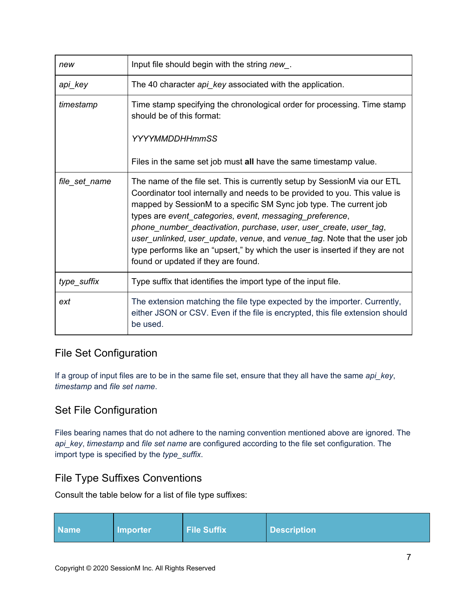| new           | Input file should begin with the string new.                                                                                                                                                                                                                                                                                                                                                                                                                                                                                                                       |  |  |
|---------------|--------------------------------------------------------------------------------------------------------------------------------------------------------------------------------------------------------------------------------------------------------------------------------------------------------------------------------------------------------------------------------------------------------------------------------------------------------------------------------------------------------------------------------------------------------------------|--|--|
| api_key       | The 40 character api_key associated with the application.                                                                                                                                                                                                                                                                                                                                                                                                                                                                                                          |  |  |
| timestamp     | Time stamp specifying the chronological order for processing. Time stamp<br>should be of this format:<br><b>YYYYMMDDHHmmSS</b><br>Files in the same set job must all have the same timestamp value.                                                                                                                                                                                                                                                                                                                                                                |  |  |
| file_set_name | The name of the file set. This is currently setup by SessionM via our ETL<br>Coordinator tool internally and needs to be provided to you. This value is<br>mapped by SessionM to a specific SM Sync job type. The current job<br>types are event_categories, event, messaging_preference,<br>phone_number_deactivation, purchase, user, user_create, user_tag,<br>user_unlinked, user_update, venue, and venue_tag. Note that the user job<br>type performs like an "upsert," by which the user is inserted if they are not<br>found or updated if they are found. |  |  |
| type_suffix   | Type suffix that identifies the import type of the input file.                                                                                                                                                                                                                                                                                                                                                                                                                                                                                                     |  |  |
| ext           | The extension matching the file type expected by the importer. Currently,<br>either JSON or CSV. Even if the file is encrypted, this file extension should<br>be used.                                                                                                                                                                                                                                                                                                                                                                                             |  |  |

### <span id="page-7-0"></span>File Set Configuration

If a group of input files are to be in the same file set, ensure that they all have the same *api\_key*, *timestamp* and *file set name*.

### <span id="page-7-1"></span>Set File Configuration

Files bearing names that do not adhere to the naming convention mentioned above are ignored. The *api\_key*, *timestamp* and *file set name* are configured according to the file set configuration. The import type is specified by the *type\_suffix*.

#### <span id="page-7-2"></span>File Type Suffixes Conventions

Consult the table below for a list of file type suffixes:

| <b>Name</b><br>  Importer | <b>File Suffix</b> | <b>Description</b> |
|---------------------------|--------------------|--------------------|
|---------------------------|--------------------|--------------------|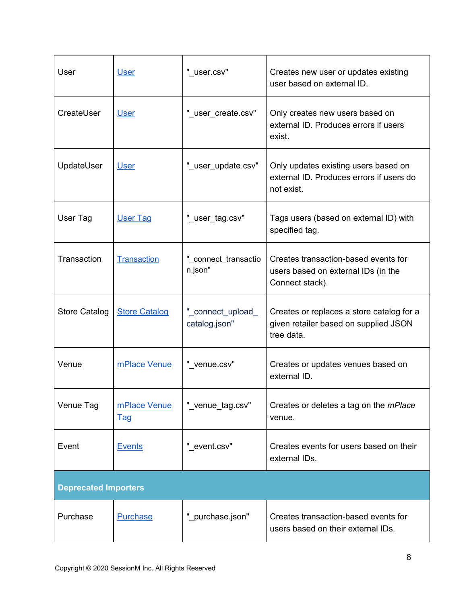| User                        | <b>User</b>                | " user.csv"                        | Creates new user or updates existing<br>user based on external ID.                               |  |
|-----------------------------|----------------------------|------------------------------------|--------------------------------------------------------------------------------------------------|--|
| CreateUser                  | <b>User</b>                | "_user_create.csv"                 | Only creates new users based on<br>external ID. Produces errors if users<br>exist.               |  |
| UpdateUser                  | <u>User</u>                | "_user_update.csv"                 | Only updates existing users based on<br>external ID. Produces errors if users do<br>not exist.   |  |
| User Tag                    | <b>User Tag</b>            | "_user_tag.csv"                    | Tags users (based on external ID) with<br>specified tag.                                         |  |
| Transaction                 | Transaction                | " connect transactio<br>n.json"    | Creates transaction-based events for<br>users based on external IDs (in the<br>Connect stack).   |  |
| <b>Store Catalog</b>        | <b>Store Catalog</b>       | "_connect_upload_<br>catalog.json" | Creates or replaces a store catalog for a<br>given retailer based on supplied JSON<br>tree data. |  |
| Venue                       | mPlace Venue               | " venue.csv"                       | Creates or updates venues based on<br>external ID.                                               |  |
| Venue Tag                   | mPlace Venue<br><u>Tag</u> | "_venue_tag.csv"                   | Creates or deletes a tag on the <i>mPlace</i><br>venue.                                          |  |
| Event                       | <b>Events</b>              | " event.csv"                       | Creates events for users based on their<br>external IDs.                                         |  |
| <b>Deprecated Importers</b> |                            |                                    |                                                                                                  |  |
| Purchase                    | <b>Purchase</b>            | "_purchase.json"                   | Creates transaction-based events for<br>users based on their external IDs.                       |  |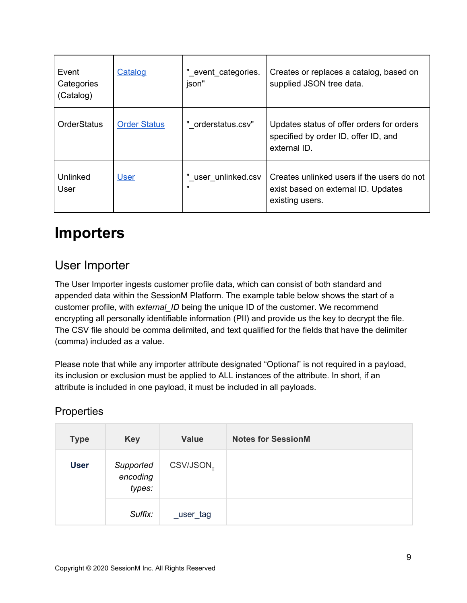| Event<br>Categories<br>(Catalog) | Catalog             | event categories.<br>json"          | Creates or replaces a catalog, based on<br>supplied JSON tree data.                                  |  |
|----------------------------------|---------------------|-------------------------------------|------------------------------------------------------------------------------------------------------|--|
| <b>OrderStatus</b>               | <b>Order Status</b> | orderstatus.csv"                    | Updates status of offer orders for orders<br>specified by order ID, offer ID, and<br>external ID.    |  |
| Unlinked<br>User                 | <u>User</u>         | "_user_unlinked.csv<br>$\mathbf{u}$ | Creates unlinked users if the users do not<br>exist based on external ID. Updates<br>existing users. |  |

# <span id="page-9-0"></span>**Importers**

# <span id="page-9-1"></span>User Importer

The User Importer ingests customer profile data, which can consist of both standard and appended data within the SessionM Platform. The example table below shows the start of a customer profile, with *external\_ID* being the unique ID of the customer. We recommend encrypting all personally identifiable information (PII) and provide us the key to decrypt the file. The CSV file should be comma delimited, and text qualified for the fields that have the delimiter (comma) included as a value.

Please note that while any importer attribute designated "Optional" is not required in a payload, its inclusion or exclusion must be applied to ALL instances of the attribute. In short, if an attribute is included in one payload, it must be included in all payloads.

### <span id="page-9-2"></span>**Properties**

| <b>Type</b> | <b>Key</b>                      | <b>Value</b>          | <b>Notes for SessionM</b> |
|-------------|---------------------------------|-----------------------|---------------------------|
| <b>User</b> | Supported<br>encoding<br>types: | CSV/JSON <sub>t</sub> |                           |
|             | Suffix:                         | _user_tag             |                           |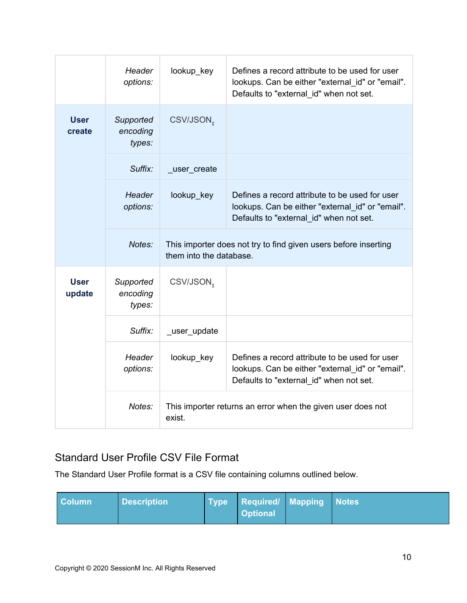|                       | Header<br>options:              | lookup_key                                                                                                                                                  | Defines a record attribute to be used for user<br>lookups. Can be either "external id" or "email".<br>Defaults to "external_id" when not set. |  |
|-----------------------|---------------------------------|-------------------------------------------------------------------------------------------------------------------------------------------------------------|-----------------------------------------------------------------------------------------------------------------------------------------------|--|
| <b>User</b><br>create | Supported<br>encoding<br>types: | CSV/JSON <sub>+</sub>                                                                                                                                       |                                                                                                                                               |  |
|                       | Suffix:                         | _user_create                                                                                                                                                |                                                                                                                                               |  |
|                       | <b>Header</b><br>options:       | lookup_key                                                                                                                                                  | Defines a record attribute to be used for user<br>lookups. Can be either "external_id" or "email".<br>Defaults to "external_id" when not set. |  |
|                       | Notes:                          | This importer does not try to find given users before inserting<br>them into the database.                                                                  |                                                                                                                                               |  |
| <b>User</b><br>update | Supported<br>encoding<br>types: | CSV/JSON <sub>+</sub>                                                                                                                                       |                                                                                                                                               |  |
|                       | Suffix:                         | _user_update                                                                                                                                                |                                                                                                                                               |  |
|                       | Header<br>options:              | lookup_key<br>Defines a record attribute to be used for user<br>lookups. Can be either "external id" or "email".<br>Defaults to "external_id" when not set. |                                                                                                                                               |  |
|                       | Notes:                          | This importer returns an error when the given user does not<br>exist.                                                                                       |                                                                                                                                               |  |

## <span id="page-10-0"></span>Standard User Profile CSV File Format

The Standard User Profile format is a CSV file containing columns outlined below.

| <b>Required/ Mapping Notes</b><br><b>Description</b><br><b>Column</b><br>l Tvpe <b>a</b><br><b>Optional</b> |  |
|-------------------------------------------------------------------------------------------------------------|--|
|-------------------------------------------------------------------------------------------------------------|--|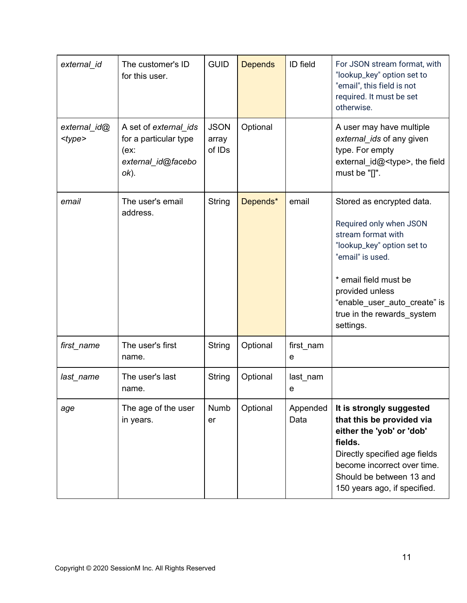| external_id                  | The customer's ID<br>for this user.                                                  | <b>GUID</b>                    | <b>Depends</b> | ID field         | For JSON stream format, with<br>"lookup_key" option set to<br>"email", this field is not<br>required. It must be set<br>otherwise.                                                                                                                  |
|------------------------------|--------------------------------------------------------------------------------------|--------------------------------|----------------|------------------|-----------------------------------------------------------------------------------------------------------------------------------------------------------------------------------------------------------------------------------------------------|
| external_id@<br>$<$ type $>$ | A set of external_ids<br>for a particular type<br>(ex:<br>external_id@facebo<br>ok). | <b>JSON</b><br>array<br>of IDs | Optional       |                  | A user may have multiple<br>external ids of any given<br>type. For empty<br>external_id@ <type>, the field<br/>must be "[]".</type>                                                                                                                 |
| email                        | The user's email<br>address.                                                         | String                         | Depends*       | email            | Stored as encrypted data.<br>Required only when JSON<br>stream format with<br>"lookup_key" option set to<br>"email" is used.<br>* email field must be<br>provided unless<br>"enable_user_auto_create" is<br>true in the rewards_system<br>settings. |
| first_name                   | The user's first<br>name.                                                            | String                         | Optional       | first_nam<br>е   |                                                                                                                                                                                                                                                     |
| last_name                    | The user's last<br>name.                                                             | <b>String</b>                  | Optional       | last nam<br>e    |                                                                                                                                                                                                                                                     |
| age                          | The age of the user<br>in years.                                                     | Numb<br>er                     | Optional       | Appended<br>Data | It is strongly suggested<br>that this be provided via<br>either the 'yob' or 'dob'<br>fields.<br>Directly specified age fields<br>become incorrect over time.<br>Should be between 13 and<br>150 years ago, if specified.                           |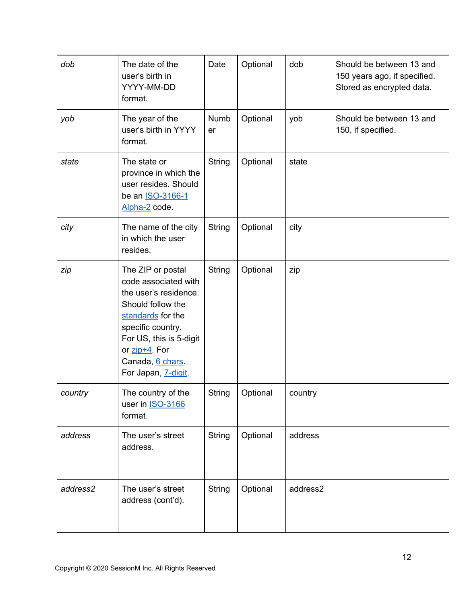| dob      | The date of the<br>user's birth in<br>YYYY-MM-DD<br>format.                                                                                                                                                              | Date          | Optional | dob      | Should be between 13 and<br>150 years ago, if specified.<br>Stored as encrypted data. |
|----------|--------------------------------------------------------------------------------------------------------------------------------------------------------------------------------------------------------------------------|---------------|----------|----------|---------------------------------------------------------------------------------------|
| yob      | The year of the<br>user's birth in YYYY<br>format.                                                                                                                                                                       | Numb<br>er    | Optional | yob      | Should be between 13 and<br>150, if specified.                                        |
| state    | The state or<br>province in which the<br>user resides. Should<br>be an <b>ISO-3166-1</b><br>Alpha-2 code.                                                                                                                | String        | Optional | state    |                                                                                       |
| city     | The name of the city<br>in which the user<br>resides.                                                                                                                                                                    | String        | Optional | city     |                                                                                       |
| zip      | The ZIP or postal<br>code associated with<br>the user's residence.<br>Should follow the<br>standards for the<br>specific country.<br>For US, this is 5-digit<br>or zip+4. For<br>Canada, 6 chars.<br>For Japan, 7-digit. | String        | Optional | zip      |                                                                                       |
| country  | The country of the<br>user in <b>ISO-3166</b><br>format.                                                                                                                                                                 | String        | Optional | country  |                                                                                       |
| address  | The user's street<br>address.                                                                                                                                                                                            | <b>String</b> | Optional | address  |                                                                                       |
| address2 | The user's street<br>address (cont'd).                                                                                                                                                                                   | String        | Optional | address2 |                                                                                       |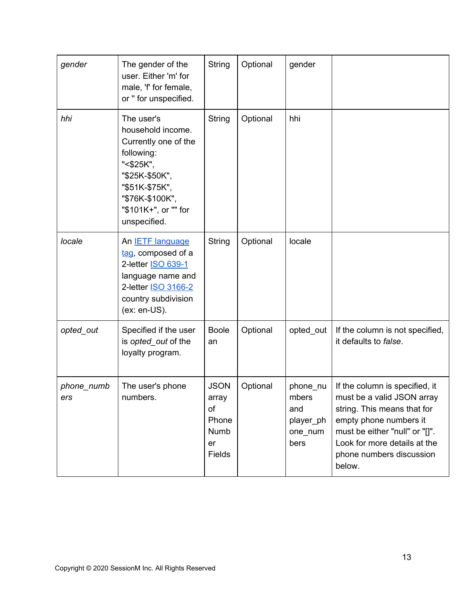| gender            | The gender of the<br>user. Either 'm' for<br>male, 'f' for female,<br>or " for unspecified.                                                                                       | <b>String</b>                                                      | Optional | gender                                                   |                                                                                                                                                                                                                               |
|-------------------|-----------------------------------------------------------------------------------------------------------------------------------------------------------------------------------|--------------------------------------------------------------------|----------|----------------------------------------------------------|-------------------------------------------------------------------------------------------------------------------------------------------------------------------------------------------------------------------------------|
| hhi               | The user's<br>household income.<br>Currently one of the<br>following:<br>"<\$25K",<br>"\$25K-\$50K",<br>"\$51K-\$75K",<br>"\$76K-\$100K",<br>"\$101K+", or "" for<br>unspecified. | <b>String</b>                                                      | Optional | hhi                                                      |                                                                                                                                                                                                                               |
| locale            | An <b>IETF</b> language<br>tag, composed of a<br>2-letter ISO 639-1<br>language name and<br>2-letter <b>ISO 3166-2</b><br>country subdivision<br>$(ex: en-US).$                   | String                                                             | Optional | locale                                                   |                                                                                                                                                                                                                               |
| opted_out         | Specified if the user<br>is opted_out of the<br>loyalty program.                                                                                                                  | <b>Boole</b><br>an                                                 | Optional | opted_out                                                | If the column is not specified,<br>it defaults to <i>false</i> .                                                                                                                                                              |
| phone_numb<br>ers | The user's phone<br>numbers.                                                                                                                                                      | <b>JSON</b><br>array<br>of<br>Phone<br>Numb<br>er<br><b>Fields</b> | Optional | phone_nu<br>mbers<br>and<br>player_ph<br>one_num<br>bers | If the column is specified, it<br>must be a valid JSON array<br>string. This means that for<br>empty phone numbers it<br>must be either "null" or "[]".<br>Look for more details at the<br>phone numbers discussion<br>below. |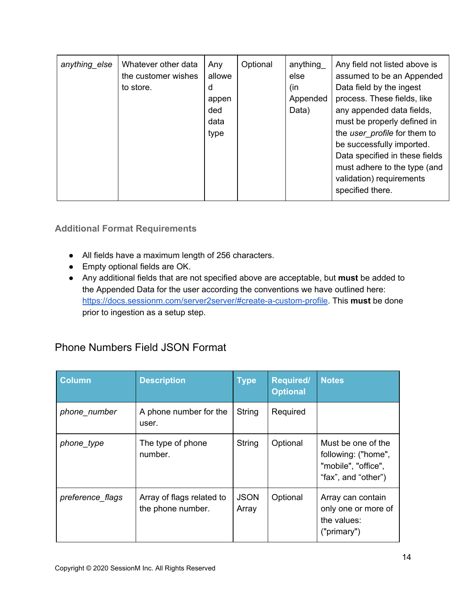| anything else | Whatever other data<br>the customer wishes<br>to store. | Any<br>allowe<br>d<br>appen<br>ded<br>data<br>type | Optional | anything<br>else<br>(in<br>Appended<br>Data) | Any field not listed above is<br>assumed to be an Appended<br>Data field by the ingest<br>process. These fields, like<br>any appended data fields,<br>must be properly defined in<br>the user profile for them to<br>be successfully imported.<br>Data specified in these fields<br>must adhere to the type (and<br>validation) requirements<br>specified there. |
|---------------|---------------------------------------------------------|----------------------------------------------------|----------|----------------------------------------------|------------------------------------------------------------------------------------------------------------------------------------------------------------------------------------------------------------------------------------------------------------------------------------------------------------------------------------------------------------------|
|---------------|---------------------------------------------------------|----------------------------------------------------|----------|----------------------------------------------|------------------------------------------------------------------------------------------------------------------------------------------------------------------------------------------------------------------------------------------------------------------------------------------------------------------------------------------------------------------|

#### <span id="page-14-0"></span>**Additional Format Requirements**

- All fields have a maximum length of 256 characters.
- Empty optional fields are OK.
- Any additional fields that are not specified above are acceptable, but **must** be added to the Appended Data for the user according the conventions we have outlined here: [https://docs.sessionm.com/server2server/#create-a-custom-profile.](https://docs.sessionm.com/server2server/#create-a-custom-profile) This **must** be done prior to ingestion as a setup step.

## <span id="page-14-1"></span>Phone Numbers Field JSON Format

| <b>Column</b>    | <b>Description</b>                             | <b>Type</b>          | <b>Required/</b><br><b>Optional</b> | <b>Notes</b>                                                                            |
|------------------|------------------------------------------------|----------------------|-------------------------------------|-----------------------------------------------------------------------------------------|
| phone number     | A phone number for the<br>user.                | String               | Required                            |                                                                                         |
| phone_type       | The type of phone<br>number.                   | String               | Optional                            | Must be one of the<br>following: ("home",<br>"mobile", "office",<br>"fax", and "other") |
| preference flags | Array of flags related to<br>the phone number. | <b>JSON</b><br>Array | Optional                            | Array can contain<br>only one or more of<br>the values:<br>("primary")                  |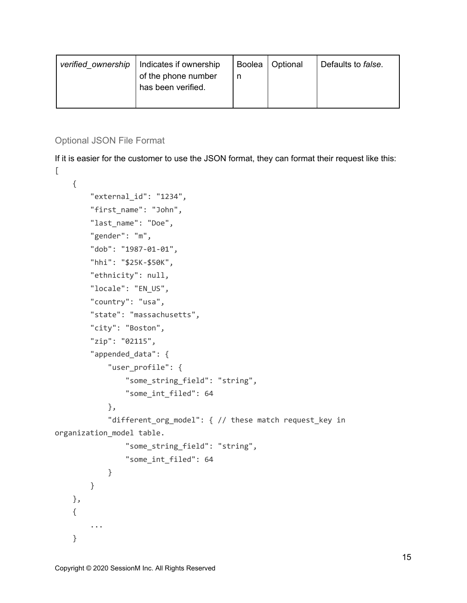| verified ownership   Indicates if ownership | Boolea   Optional | Defaults to <i>false</i> . |
|---------------------------------------------|-------------------|----------------------------|
| of the phone number<br>has been verified.   |                   |                            |
|                                             |                   |                            |

<span id="page-15-0"></span>Optional JSON File Format

If it is easier for the customer to use the JSON format, they can format their request like this:  $\lceil$ 

```
 {
         "external_id": "1234",
         "first_name": "John",
         "last_name": "Doe",
         "gender": "m",
         "dob": "1987-01-01",
         "hhi": "$25K-$50K",
         "ethnicity": null,
         "locale": "EN_US",
         "country": "usa",
         "state": "massachusetts",
         "city": "Boston",
         "zip": "02115",
         "appended_data": {
              "user_profile": {
                  "some_string_field": "string",
                  "some_int_filed": 64
              },
              "different_org_model": { // these match request_key in
organization_model table.
                  "some_string_field": "string",
                  "some_int_filed": 64
              }
         }
     },
     {
         ...
     }
```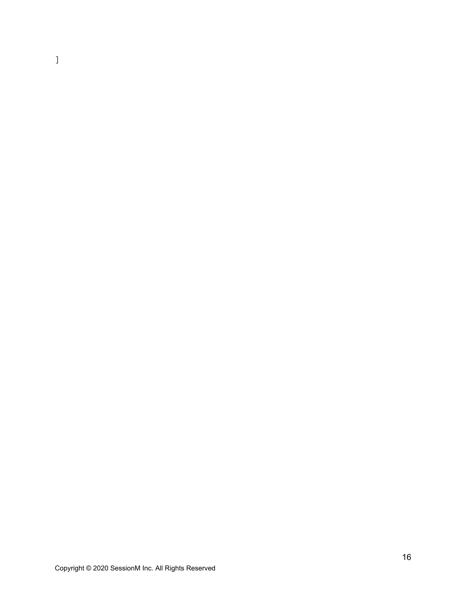]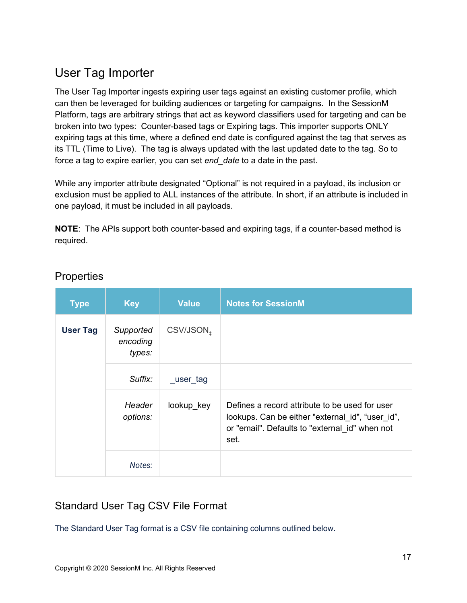# <span id="page-17-0"></span>User Tag Importer

The User Tag Importer ingests expiring user tags against an existing customer profile, which can then be leveraged for building audiences or targeting for campaigns. In the SessionM Platform, tags are arbitrary strings that act as keyword classifiers used for targeting and can be broken into two types: Counter-based tags or Expiring tags. This importer supports ONLY expiring tags at this time, where a defined end date is configured against the tag that serves as its TTL (Time to Live). The tag is always updated with the last updated date to the tag. So to force a tag to expire earlier, you can set *end\_date* to a date in the past.

While any importer attribute designated "Optional" is not required in a payload, its inclusion or exclusion must be applied to ALL instances of the attribute. In short, if an attribute is included in one payload, it must be included in all payloads.

**NOTE**: The APIs support both counter-based and expiring tags, if a counter-based method is required.

| <b>Type</b>     | <b>Key</b>                      | <b>Value</b>          | <b>Notes for SessionM</b>                                                                                                                                    |
|-----------------|---------------------------------|-----------------------|--------------------------------------------------------------------------------------------------------------------------------------------------------------|
| <b>User Tag</b> | Supported<br>encoding<br>types: | CSV/JSON <sub>+</sub> |                                                                                                                                                              |
|                 | Suffix:                         | _user_tag             |                                                                                                                                                              |
|                 | Header<br>options:              | lookup_key            | Defines a record attribute to be used for user<br>lookups. Can be either "external id", "user id",<br>or "email". Defaults to "external id" when not<br>set. |
|                 | Notes:                          |                       |                                                                                                                                                              |

### <span id="page-17-1"></span>**Properties**

## <span id="page-17-2"></span>Standard User Tag CSV File Format

The Standard User Tag format is a CSV file containing columns outlined below.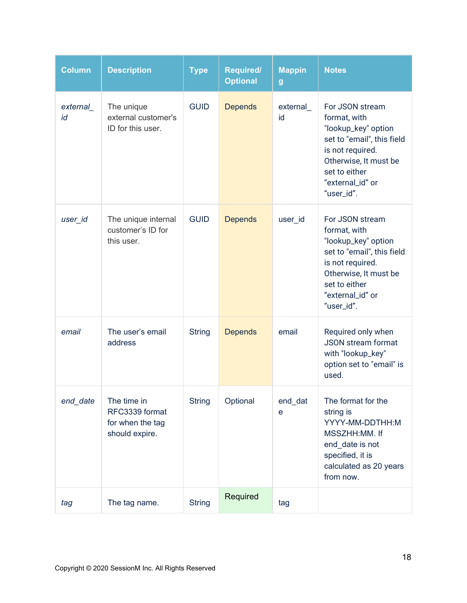| <b>Column</b>  | <b>Description</b>                                                  | <b>Type</b>   | <b>Required/</b><br><b>Optional</b> | <b>Mappin</b><br>$\boldsymbol{g}$ | <b>Notes</b>                                                                                                                                                                         |
|----------------|---------------------------------------------------------------------|---------------|-------------------------------------|-----------------------------------|--------------------------------------------------------------------------------------------------------------------------------------------------------------------------------------|
| external<br>id | The unique<br>external customer's<br>ID for this user.              | <b>GUID</b>   | <b>Depends</b>                      | external<br>id                    | For JSON stream<br>format, with<br>"lookup_key" option<br>set to "email", this field<br>is not required.<br>Otherwise, It must be<br>set to either<br>"external_id" or<br>"user_id". |
| user id        | The unique internal<br>customer's ID for<br>this user.              | <b>GUID</b>   | <b>Depends</b>                      | user id                           | For JSON stream<br>format, with<br>"lookup_key" option<br>set to "email", this field<br>is not required.<br>Otherwise, It must be<br>set to either<br>"external_id" or<br>"user_id". |
| email          | The user's email<br>address                                         | <b>String</b> | <b>Depends</b>                      | email                             | Required only when<br><b>JSON</b> stream format<br>with "lookup_key"<br>option set to "email" is<br>used.                                                                            |
| end_date       | The time in<br>RFC3339 format<br>for when the tag<br>should expire. | <b>String</b> | Optional                            | end_dat<br>e                      | The format for the<br>string is<br>YYYY-MM-DDTHH:M<br>MSSZHH:MM. If<br>end_date is not<br>specified, it is<br>calculated as 20 years<br>from now.                                    |
| tag            | The tag name.                                                       | <b>String</b> | Required                            | tag                               |                                                                                                                                                                                      |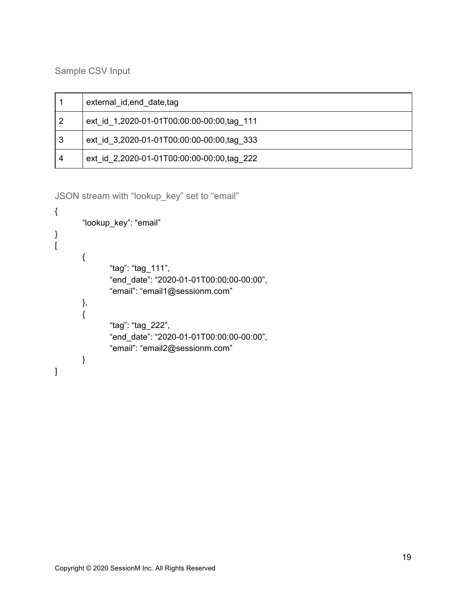<span id="page-19-0"></span>Sample CSV Input

|   | external_id,end_date,tag                   |
|---|--------------------------------------------|
| 2 | ext id 1,2020-01-01T00:00:00-00:00,tag 111 |
| 3 | ext_id_3,2020-01-01T00:00:00-00:00,tag_333 |
|   | ext id 2,2020-01-01T00:00:00-00:00,tag 222 |

<span id="page-19-1"></span>JSON stream with "lookup\_key" set to "email"

```
{
       "lookup_key": "email"
}
\lceil{
              "tag": "tag_111",
              "end_date": "2020-01-01T00:00:00-00:00",
              "email": "email1@sessionm.com"
       },
       {
              "tag": "tag_222",
              "end_date": "2020-01-01T00:00:00-00:00",
              "email": "email2@sessionm.com"
       }
]
```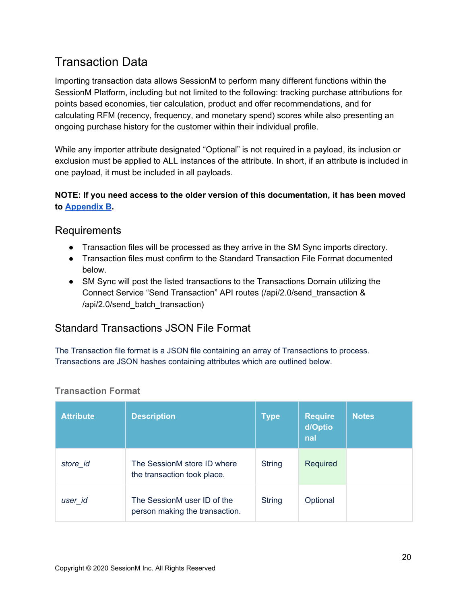# Transaction Data

Importing transaction data allows SessionM to perform many different functions within the SessionM Platform, including but not limited to the following: tracking purchase attributions for points based economies, tier calculation, product and offer recommendations, and for calculating RFM (recency, frequency, and monetary spend) scores while also presenting an ongoing purchase history for the customer within their individual profile.

While any importer attribute designated "Optional" is not required in a payload, its inclusion or exclusion must be applied to ALL instances of the attribute. In short, if an attribute is included in one payload, it must be included in all payloads.

#### **NOTE: If you need access to the older version of this documentation, it has been moved to [Appendix](#page-41-0) B.**

#### <span id="page-20-0"></span>Requirements

- Transaction files will be processed as they arrive in the SM Sync imports directory.
- Transaction files must confirm to the Standard Transaction File Format documented below.
- SM Sync will post the listed transactions to the Transactions Domain utilizing the Connect Service "Send Transaction" API routes (/api/2.0/send\_transaction & /api/2.0/send\_batch\_transaction)

### <span id="page-20-1"></span>Standard Transactions JSON File Format

The Transaction file format is a JSON file containing an array of Transactions to process. Transactions are JSON hashes containing attributes which are outlined below.

| <b>Attribute</b> | <b>Description</b>                                            | <b>Type</b>   | <b>Require</b><br>d/Optio<br>nal | <b>Notes</b> |
|------------------|---------------------------------------------------------------|---------------|----------------------------------|--------------|
| store_id         | The SessionM store ID where<br>the transaction took place.    | <b>String</b> | Required                         |              |
| user id          | The SessionM user ID of the<br>person making the transaction. | <b>String</b> | Optional                         |              |

#### <span id="page-20-2"></span>**Transaction Format**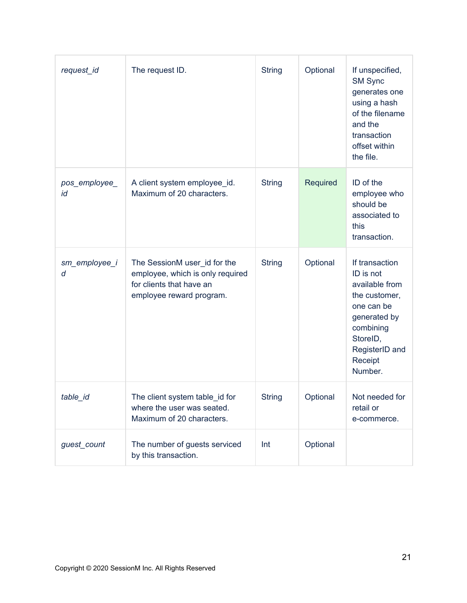| request_id          | The request ID.                                                                                                          | <b>String</b> | Optional | If unspecified,<br><b>SM Sync</b><br>generates one<br>using a hash<br>of the filename<br>and the<br>transaction<br>offset within<br>the file.                 |
|---------------------|--------------------------------------------------------------------------------------------------------------------------|---------------|----------|---------------------------------------------------------------------------------------------------------------------------------------------------------------|
| pos_employee_<br>id | A client system employee_id.<br>Maximum of 20 characters.                                                                | <b>String</b> | Required | ID of the<br>employee who<br>should be<br>associated to<br>this<br>transaction.                                                                               |
| sm_employee_i<br>d  | The SessionM user id for the<br>employee, which is only required<br>for clients that have an<br>employee reward program. | <b>String</b> | Optional | If transaction<br>ID is not<br>available from<br>the customer,<br>one can be<br>generated by<br>combining<br>StoreID,<br>RegisterID and<br>Receipt<br>Number. |
| table_id            | The client system table_id for<br>where the user was seated.<br>Maximum of 20 characters.                                | <b>String</b> | Optional | Not needed for<br>retail or<br>e-commerce.                                                                                                                    |
| guest_count         | The number of guests serviced<br>by this transaction.                                                                    | Int           | Optional |                                                                                                                                                               |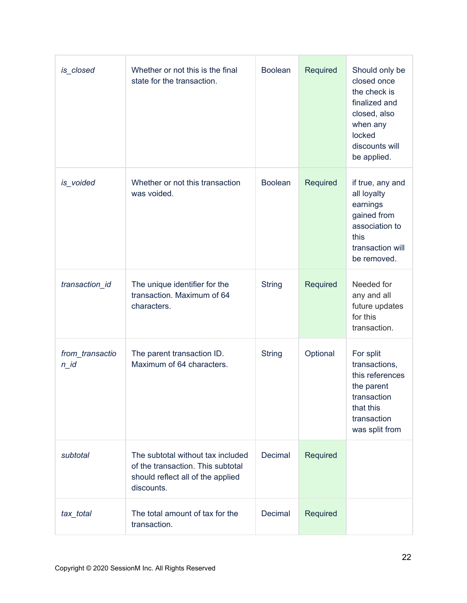| is_closed                 | Whether or not this is the final<br>state for the transaction.                                                            | <b>Boolean</b> | Required | Should only be<br>closed once<br>the check is<br>finalized and<br>closed, also<br>when any<br>locked<br>discounts will<br>be applied. |
|---------------------------|---------------------------------------------------------------------------------------------------------------------------|----------------|----------|---------------------------------------------------------------------------------------------------------------------------------------|
| is_voided                 | Whether or not this transaction<br>was voided.                                                                            | <b>Boolean</b> | Required | if true, any and<br>all loyalty<br>earnings<br>gained from<br>association to<br>this<br>transaction will<br>be removed.               |
| transaction_id            | The unique identifier for the<br>transaction. Maximum of 64<br>characters.                                                | <b>String</b>  | Required | Needed for<br>any and all<br>future updates<br>for this<br>transaction.                                                               |
| from_transactio<br>$n_id$ | The parent transaction ID.<br>Maximum of 64 characters.                                                                   | <b>String</b>  | Optional | For split<br>transactions,<br>this references<br>the parent<br>transaction<br>that this<br>transaction<br>was split from              |
| subtotal                  | The subtotal without tax included<br>of the transaction. This subtotal<br>should reflect all of the applied<br>discounts. | Decimal        | Required |                                                                                                                                       |
| tax_total                 | The total amount of tax for the<br>transaction.                                                                           | Decimal        | Required |                                                                                                                                       |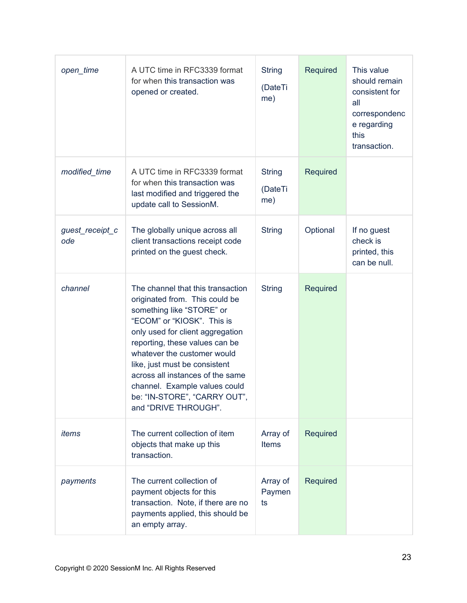| open_time              | A UTC time in RFC3339 format<br>for when this transaction was<br>opened or created.                                                                                                                                                                                                                                                                                                               | <b>String</b><br>(DateTi<br>me) | Required        | This value<br>should remain<br>consistent for<br>all<br>correspondenc<br>e regarding<br>this<br>transaction. |
|------------------------|---------------------------------------------------------------------------------------------------------------------------------------------------------------------------------------------------------------------------------------------------------------------------------------------------------------------------------------------------------------------------------------------------|---------------------------------|-----------------|--------------------------------------------------------------------------------------------------------------|
| modified_time          | A UTC time in RFC3339 format<br>for when this transaction was<br>last modified and triggered the<br>update call to SessionM.                                                                                                                                                                                                                                                                      | <b>String</b><br>(DateTi<br>me) | Required        |                                                                                                              |
| guest_receipt_c<br>ode | The globally unique across all<br>client transactions receipt code<br>printed on the guest check.                                                                                                                                                                                                                                                                                                 | <b>String</b>                   | Optional        | If no guest<br>check is<br>printed, this<br>can be null.                                                     |
| channel                | The channel that this transaction<br>originated from. This could be<br>something like "STORE" or<br>"ECOM" or "KIOSK". This is<br>only used for client aggregation<br>reporting, these values can be<br>whatever the customer would<br>like, just must be consistent<br>across all instances of the same<br>channel. Example values could<br>be: "IN-STORE", "CARRY OUT",<br>and "DRIVE THROUGH". | <b>String</b>                   | Required        |                                                                                                              |
| <i>items</i>           | The current collection of item<br>objects that make up this<br>transaction.                                                                                                                                                                                                                                                                                                                       | Array of<br><b>Items</b>        | <b>Required</b> |                                                                                                              |
| payments               | The current collection of<br>payment objects for this<br>transaction. Note, if there are no<br>payments applied, this should be<br>an empty array.                                                                                                                                                                                                                                                | Array of<br>Paymen<br>ts        | Required        |                                                                                                              |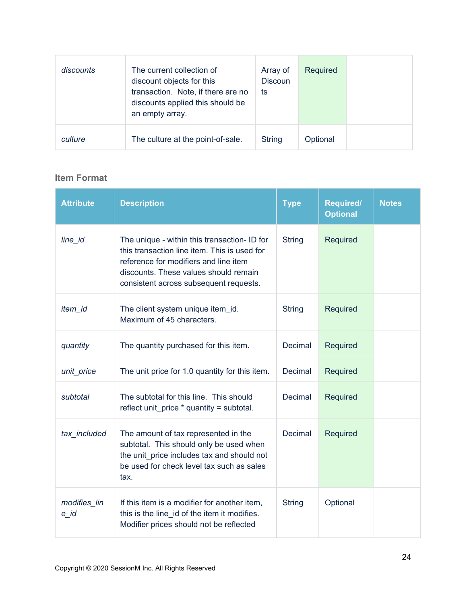| discounts | The current collection of<br>discount objects for this<br>transaction. Note, if there are no<br>discounts applied this should be<br>an empty array. | Array of<br><b>Discoun</b><br>ts | Required |  |
|-----------|-----------------------------------------------------------------------------------------------------------------------------------------------------|----------------------------------|----------|--|
| culture   | The culture at the point-of-sale.                                                                                                                   | <b>String</b>                    | Optional |  |

#### <span id="page-24-0"></span>**Item Format**

| <b>Attribute</b>       | <b>Description</b>                                                                                                                                                                                                       | <b>Type</b>   | Required/<br><b>Optional</b> | <b>Notes</b> |
|------------------------|--------------------------------------------------------------------------------------------------------------------------------------------------------------------------------------------------------------------------|---------------|------------------------------|--------------|
| line_id                | The unique - within this transaction- ID for<br>this transaction line item. This is used for<br>reference for modifiers and line item<br>discounts. These values should remain<br>consistent across subsequent requests. | <b>String</b> | Required                     |              |
| item id                | The client system unique item_id.<br>Maximum of 45 characters.                                                                                                                                                           | <b>String</b> | Required                     |              |
| quantity               | The quantity purchased for this item.                                                                                                                                                                                    | Decimal       | Required                     |              |
| unit_price             | The unit price for 1.0 quantity for this item.                                                                                                                                                                           | Decimal       | Required                     |              |
| subtotal               | The subtotal for this line. This should<br>reflect unit_price * quantity = subtotal.                                                                                                                                     | Decimal       | Required                     |              |
| tax_included           | The amount of tax represented in the<br>subtotal. This should only be used when<br>the unit_price includes tax and should not<br>be used for check level tax such as sales<br>tax.                                       | Decimal       | Required                     |              |
| modifies_lin<br>$e_id$ | If this item is a modifier for another item,<br>this is the line_id of the item it modifies.<br>Modifier prices should not be reflected                                                                                  | <b>String</b> | Optional                     |              |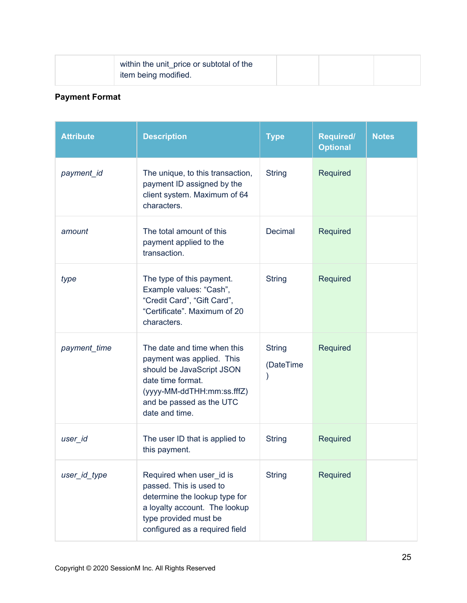| within the unit price or subtotal of the |  |  |
|------------------------------------------|--|--|
| item being modified.                     |  |  |

#### **Payment Format**

| <b>Attribute</b> | <b>Description</b>                                                                                                                                                                     | <b>Type</b>                | Required/<br><b>Optional</b> | <b>Notes</b> |
|------------------|----------------------------------------------------------------------------------------------------------------------------------------------------------------------------------------|----------------------------|------------------------------|--------------|
| payment id       | The unique, to this transaction,<br>payment ID assigned by the<br>client system. Maximum of 64<br>characters.                                                                          | <b>String</b>              | Required                     |              |
| amount           | The total amount of this<br>payment applied to the<br>transaction.                                                                                                                     | Decimal                    | Required                     |              |
| type             | The type of this payment.<br>Example values: "Cash",<br>"Credit Card", "Gift Card",<br>"Certificate", Maximum of 20<br>characters.                                                     | <b>String</b>              | Required                     |              |
| payment_time     | The date and time when this<br>payment was applied. This<br>should be JavaScript JSON<br>date time format.<br>(yyyy-MM-ddTHH:mm:ss.fffZ)<br>and be passed as the UTC<br>date and time. | <b>String</b><br>(DateTime | Required                     |              |
| user_id          | The user ID that is applied to<br>this payment.                                                                                                                                        | <b>String</b>              | Required                     |              |
| user_id_type     | Required when user_id is<br>passed. This is used to<br>determine the lookup type for<br>a loyalty account. The lookup<br>type provided must be<br>configured as a required field       | <b>String</b>              | Required                     |              |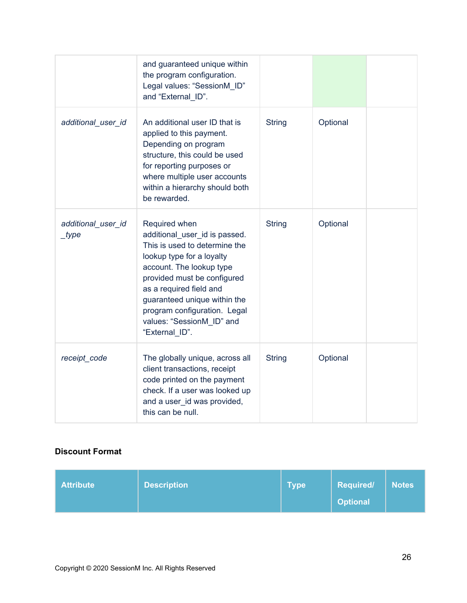|                                | and guaranteed unique within<br>the program configuration.<br>Legal values: "SessionM_ID"<br>and "External ID".                                                                                                                                                                                                   |               |          |  |
|--------------------------------|-------------------------------------------------------------------------------------------------------------------------------------------------------------------------------------------------------------------------------------------------------------------------------------------------------------------|---------------|----------|--|
| additional_user_id             | An additional user ID that is<br>applied to this payment.<br>Depending on program<br>structure, this could be used<br>for reporting purposes or<br>where multiple user accounts<br>within a hierarchy should both<br>be rewarded.                                                                                 | <b>String</b> | Optional |  |
| additional user id<br>$\_type$ | Required when<br>additional user id is passed.<br>This is used to determine the<br>lookup type for a loyalty<br>account. The lookup type<br>provided must be configured<br>as a required field and<br>guaranteed unique within the<br>program configuration. Legal<br>values: "SessionM_ID" and<br>"External_ID". | <b>String</b> | Optional |  |
| receipt code                   | The globally unique, across all<br>client transactions, receipt<br>code printed on the payment<br>check. If a user was looked up<br>and a user id was provided,<br>this can be null.                                                                                                                              | <b>String</b> | Optional |  |

#### **Discount Format**

| <b>Attribute</b> | <b>Description</b> | Type | Required/       | <b>Notes</b> |
|------------------|--------------------|------|-----------------|--------------|
|                  |                    |      | <b>Optional</b> |              |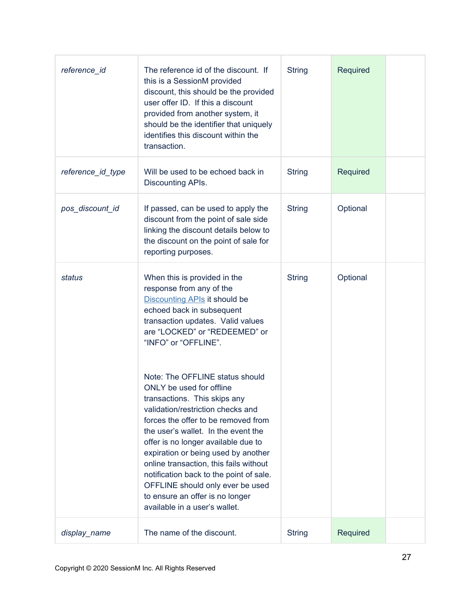| reference_id      | The reference id of the discount. If<br>this is a SessionM provided<br>discount, this should be the provided<br>user offer ID. If this a discount<br>provided from another system, it<br>should be the identifier that uniquely<br>identifies this discount within the<br>transaction.                                                                                                                                                                                                    | <b>String</b> | <b>Required</b> |  |
|-------------------|-------------------------------------------------------------------------------------------------------------------------------------------------------------------------------------------------------------------------------------------------------------------------------------------------------------------------------------------------------------------------------------------------------------------------------------------------------------------------------------------|---------------|-----------------|--|
| reference_id_type | Will be used to be echoed back in<br>Discounting APIs.                                                                                                                                                                                                                                                                                                                                                                                                                                    | <b>String</b> | Required        |  |
| pos_discount_id   | If passed, can be used to apply the<br>discount from the point of sale side<br>linking the discount details below to<br>the discount on the point of sale for<br>reporting purposes.                                                                                                                                                                                                                                                                                                      | <b>String</b> | Optional        |  |
| status            | When this is provided in the<br>response from any of the<br>Discounting APIs it should be<br>echoed back in subsequent<br>transaction updates. Valid values<br>are "LOCKED" or "REDEEMED" or<br>"INFO" or "OFFLINE".                                                                                                                                                                                                                                                                      | <b>String</b> | Optional        |  |
|                   | Note: The OFFLINE status should<br>ONLY be used for offline<br>transactions. This skips any<br>validation/restriction checks and<br>forces the offer to be removed from<br>the user's wallet. In the event the<br>offer is no longer available due to<br>expiration or being used by another<br>online transaction, this fails without<br>notification back to the point of sale.<br>OFFLINE should only ever be used<br>to ensure an offer is no longer<br>available in a user's wallet. |               |                 |  |
| display_name      | The name of the discount.                                                                                                                                                                                                                                                                                                                                                                                                                                                                 | <b>String</b> | Required        |  |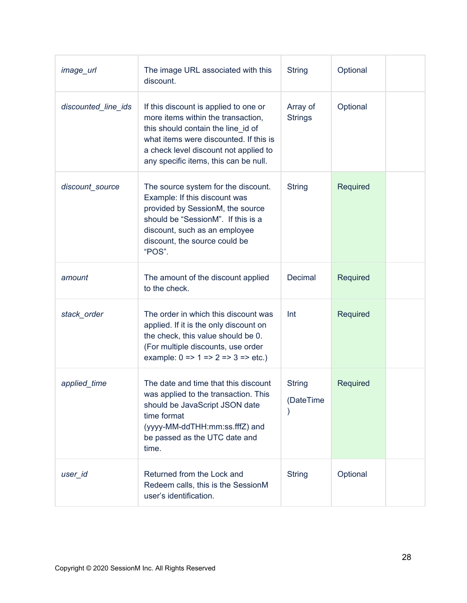| image_url           | The image URL associated with this<br>discount.                                                                                                                                                                                               | <b>String</b>              | Optional |  |
|---------------------|-----------------------------------------------------------------------------------------------------------------------------------------------------------------------------------------------------------------------------------------------|----------------------------|----------|--|
| discounted_line_ids | If this discount is applied to one or<br>more items within the transaction,<br>this should contain the line_id of<br>what items were discounted. If this is<br>a check level discount not applied to<br>any specific items, this can be null. | Array of<br><b>Strings</b> | Optional |  |
| discount_source     | The source system for the discount.<br>Example: If this discount was<br>provided by SessionM, the source<br>should be "SessionM". If this is a<br>discount, such as an employee<br>discount, the source could be<br>"POS".                    | <b>String</b>              | Required |  |
| amount              | The amount of the discount applied<br>to the check.                                                                                                                                                                                           | Decimal                    | Required |  |
| stack_order         | The order in which this discount was<br>applied. If it is the only discount on<br>the check, this value should be 0.<br>(For multiple discounts, use order<br>example: $0 \Rightarrow 1 \Rightarrow 2 \Rightarrow 3 \Rightarrow$ etc.)        | Int                        | Required |  |
| applied_time        | The date and time that this discount<br>was applied to the transaction. This<br>should be JavaScript JSON date<br>time format<br>(yyyy-MM-ddTHH:mm:ss.fffZ) and<br>be passed as the UTC date and<br>time.                                     | <b>String</b><br>(DateTime | Required |  |
| user id             | Returned from the Lock and<br>Redeem calls, this is the SessionM<br>user's identification.                                                                                                                                                    | <b>String</b>              | Optional |  |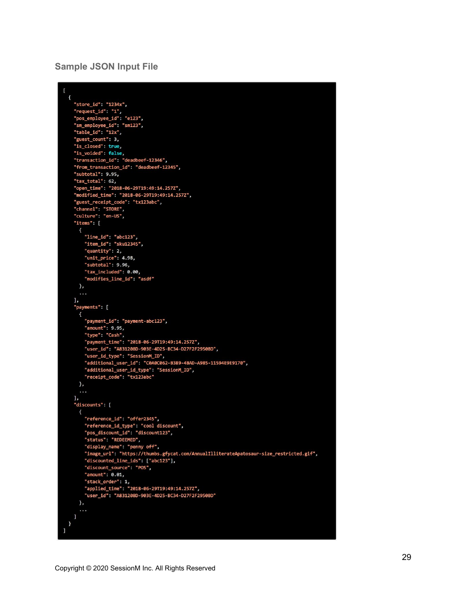#### <span id="page-29-0"></span>**Sample JSON Input File**

```
I
  ſ
    "store_id": "1234x",
     "request_id": "1","pos_employee_id": "e123",
    "sm_employee_id": "sm123",
     "table_id": "12x",
     "guest_count": 3,
    "is_closed": true,
    "is_voided": false,<br>"is_voided": false,<br>"ransaction_id": "deadbeef-12346",
    "from_transaction_id": "deadbeef-12345",
    "subtotal": 9.95,
    "tax_total": 62,
     "open_time": "2018-06-29T19:49:14.257Z",
    "modified_time": "2018-06-29T19:49:14.257Z",
    "guest_receipt_code": "tx123abc",
    "channel": "STORE",<br>"culture": "en-US",
    "items": [
         "line_id": "abc123",<br>"item_id": "sku12345",
         "quantity": 2,
         "unit_price": 4.98,
         "subtotal": 9.96,
         "tax_included": 0.00,
         "modifies_line_id": "asdf"
       },
    \mathbf{1}"payments": [
         "payment_id": "payment-abc123",
         "amount": 9.95,
         "type": "Cash",
         "payment_time": "2018-06-29T19:49:14.257Z",
         "user_id": "A831208D-903E-4D25-BC34-D27F2F2950BD",
         "user_id_type": "SessionM_ID",
         "additional_user_id": "C0A0C062-B389-4BAD-A985-11594E9E9170",<br>"additional_user_id": "C0A0C062-B389-4BAD-A985-11594E9E9170",
         "receipt_code": "tx123abc"
       },
    ],
     "discounts": [
       \mathfrak{c}"reference_id": "offer2345",
         "reference_id_type": "cool discount",<br>"pos_discount_id": "discount123",
         "status": "REDEEMED",
         "display_name": "penny off",<br>"image_url": "https://thumbs.gfycat.com/AnnualIlliterateApatosaur-size_restricted.gif",
         "discounted_line_ids": ["abc123"],
         "discount_source": "POS",
          "amount": 0.01,
         "stack_order": 1,
         "applied_time": "2018-06-29T19:49:14.257Z",
         "user_id": "A831208D-903E-4D25-BC34-D27F2F2950BD"
       },
       \cdots\mathbf{I}j
```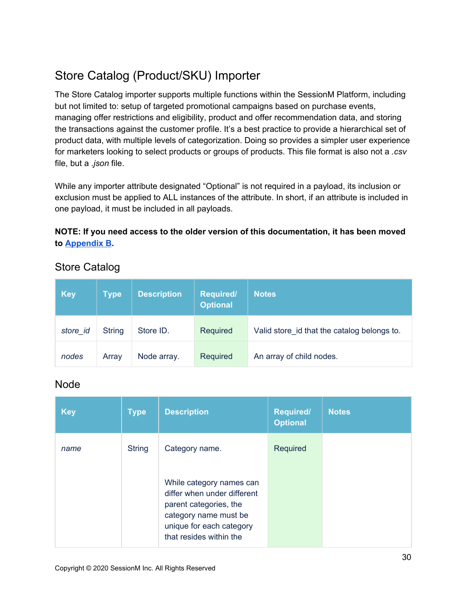# <span id="page-30-0"></span>Store Catalog (Product/SKU) Importer

The Store Catalog importer supports multiple functions within the SessionM Platform, including but not limited to: setup of targeted promotional campaigns based on purchase events, managing offer restrictions and eligibility, product and offer recommendation data, and storing the transactions against the customer profile. It's a best practice to provide a hierarchical set of product data, with multiple levels of categorization. Doing so provides a simpler user experience for marketers looking to select products or groups of products. This file format is also not a *.csv* file, but a *.json* file.

While any importer attribute designated "Optional" is not required in a payload, its inclusion or exclusion must be applied to ALL instances of the attribute. In short, if an attribute is included in one payload, it must be included in all payloads.

#### **NOTE: If you need access to the older version of this documentation, it has been moved to [Appendix](#page-41-0) B.**

## <span id="page-30-1"></span>Store Catalog

| <b>Key</b> | <b>Type</b>   | <b>Description</b> | <b>Required/</b><br><b>Optional</b> | <b>Notes</b>                                |
|------------|---------------|--------------------|-------------------------------------|---------------------------------------------|
| store_id   | <b>String</b> | Store ID.          | <b>Required</b>                     | Valid store id that the catalog belongs to. |
| nodes      | Array         | Node array.        | <b>Required</b>                     | An array of child nodes.                    |

#### <span id="page-30-2"></span>Node

| <b>Key</b> | <b>Type</b>   | <b>Description</b>                                                                                                                                                | <b>Required/</b><br><b>Optional</b> | <b>Notes</b> |
|------------|---------------|-------------------------------------------------------------------------------------------------------------------------------------------------------------------|-------------------------------------|--------------|
| name       | <b>String</b> | Category name.                                                                                                                                                    | Required                            |              |
|            |               | While category names can<br>differ when under different<br>parent categories, the<br>category name must be<br>unique for each category<br>that resides within the |                                     |              |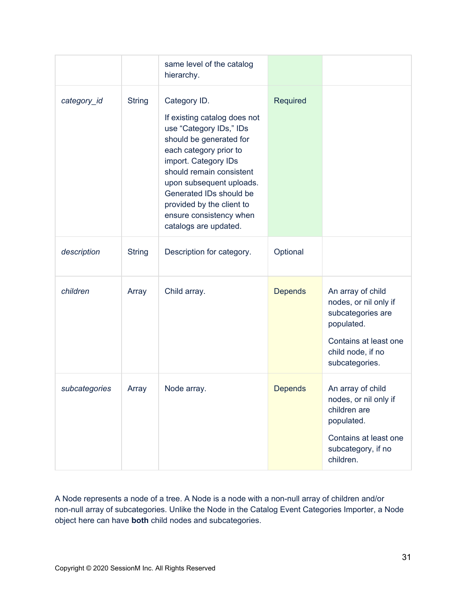|               |               | same level of the catalog<br>hierarchy.                                                                                                                                                                                                                                                                                  |                |                                                                                                                                               |
|---------------|---------------|--------------------------------------------------------------------------------------------------------------------------------------------------------------------------------------------------------------------------------------------------------------------------------------------------------------------------|----------------|-----------------------------------------------------------------------------------------------------------------------------------------------|
| category_id   | <b>String</b> | Category ID.<br>If existing catalog does not<br>use "Category IDs," IDs<br>should be generated for<br>each category prior to<br>import. Category IDs<br>should remain consistent<br>upon subsequent uploads.<br>Generated IDs should be<br>provided by the client to<br>ensure consistency when<br>catalogs are updated. | Required       |                                                                                                                                               |
| description   | <b>String</b> | Description for category.                                                                                                                                                                                                                                                                                                | Optional       |                                                                                                                                               |
| children      | Array         | Child array.                                                                                                                                                                                                                                                                                                             | <b>Depends</b> | An array of child<br>nodes, or nil only if<br>subcategories are<br>populated.<br>Contains at least one<br>child node, if no<br>subcategories. |
| subcategories | Array         | Node array.                                                                                                                                                                                                                                                                                                              | <b>Depends</b> | An array of child<br>nodes, or nil only if<br>children are<br>populated.<br>Contains at least one<br>subcategory, if no<br>children.          |

A Node represents a node of a tree. A Node is a node with a non-null array of children and/or non-null array of subcategories. Unlike the Node in the Catalog Event Categories Importer, a Node object here can have **both** child nodes and subcategories.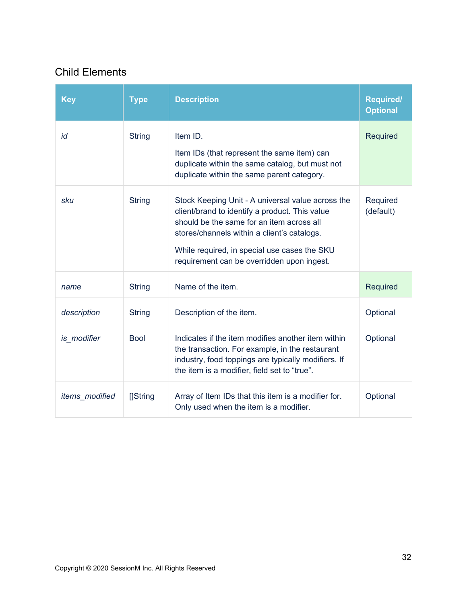## <span id="page-32-0"></span>Child Elements

| <b>Key</b>     | <b>Type</b>   | <b>Description</b>                                                                                                                                                                                                                                                                            | Required/<br><b>Optional</b> |
|----------------|---------------|-----------------------------------------------------------------------------------------------------------------------------------------------------------------------------------------------------------------------------------------------------------------------------------------------|------------------------------|
| id             | <b>String</b> | Item ID.<br>Item IDs (that represent the same item) can<br>duplicate within the same catalog, but must not<br>duplicate within the same parent category.                                                                                                                                      | Required                     |
| sku            | <b>String</b> | Stock Keeping Unit - A universal value across the<br>client/brand to identify a product. This value<br>should be the same for an item across all<br>stores/channels within a client's catalogs.<br>While required, in special use cases the SKU<br>requirement can be overridden upon ingest. | Required<br>(default)        |
| name           | <b>String</b> | Name of the item.                                                                                                                                                                                                                                                                             | Required                     |
| description    | <b>String</b> | Description of the item.                                                                                                                                                                                                                                                                      | Optional                     |
| is_modifier    | <b>Bool</b>   | Indicates if the item modifies another item within<br>the transaction. For example, in the restaurant<br>industry, food toppings are typically modifiers. If<br>the item is a modifier, field set to "true".                                                                                  | Optional                     |
| items_modified | []String      | Array of Item IDs that this item is a modifier for.<br>Only used when the item is a modifier.                                                                                                                                                                                                 | Optional                     |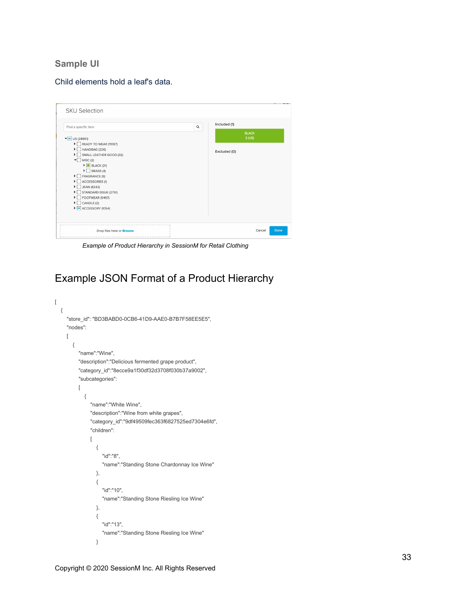#### <span id="page-33-0"></span>**Sample UI**

#### Child elements hold a leaf's data.

| <b>SKU Selection</b>                                                                                                                   |                          |
|----------------------------------------------------------------------------------------------------------------------------------------|--------------------------|
| $\alpha$<br>Find a specific item                                                                                                       | Included (1)             |
| $\overline{\mathbf{C}}$ US (28951)                                                                                                     | <b>BLACK</b><br>$3$ (US) |
| READY TO WEAR (11097)<br>$\blacktriangleright$ $\Box$ HANDBAG (226)<br>> SMALL LEATHER GOOD (32)                                       | Excluded (0)             |
| $\blacktriangledown$ MISC (2)<br>$\blacktriangleright$ BLACK (21)<br>$\triangleright$ BRASS (4)                                        |                          |
| $\blacktriangleright$ $\Box$ FRAGRANCE (9)<br>$\blacktriangleright$ $\Box$ ACCESSORIES (1)<br>$\blacktriangleright$ $\Box$ JEAN (8242) |                          |
| STANDARD ISSUE (2751)<br>$\triangleright$ $\square$ FOOTWEAR (5467)<br>$\triangleright$ $\square$ CANDLE (2)                           |                          |
| $\blacktriangleright$ $\blacksquare$ ACCESSORY (1054)                                                                                  |                          |
| Drop files here or <b>Browse</b>                                                                                                       | Cancel<br>Done           |

*Example of Product Hierarchy in SessionM for Retail Clothing*

### <span id="page-33-1"></span>Example JSON Format of a Product Hierarchy

```
\overline{\phantom{a}}{
     "store_id": "BD3BABD0-0CB6-41D9-AAE0-B7B7F58EE5E5",
    "nodes":
    [
       {
         "name":"Wine",
         "description":"Delicious fermented grape product",
         "category_id":"8ecce9a1f30df32d3708f030b37a9002",
         "subcategories":
         [
            {
              "name":"White Wine",
              "description":"Wine from white grapes",
              "category_id":"9df49509fec363f6827525ed7304e6fd",
              "children":
              [
                 {
                   "id":"8",
                   "name":"Standing Stone Chardonnay Ice Wine"
                },
                 {
                   "id":"10",
                   "name":"Standing Stone Riesling Ice Wine"
                },
                 {
                   "id":"13",
                   "name":"Standing Stone Riesling Ice Wine"
                }
```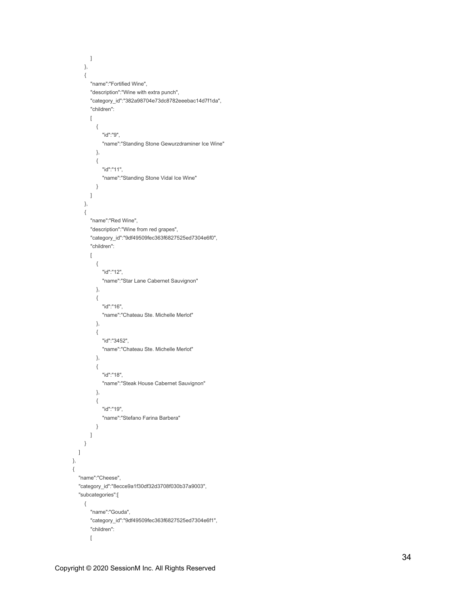```
]
  }, \{"name":"Fortified Wine",
      "description": "Wine with extra punch",
      "category_id":"382a98704e73dc8782eeebac14d7f1da",
     "children": [ { "id":"9", "name":"Standing Stone Gewurzdraminer Ice Wine
"
       },{
           "id":"11",
           "name":"Standing Stone Vidal Ice Wine"
       }
    ]
  }, \{"name":"Red Wine",
      "description": "Wine from red grapes",
      "category_id":"9df49509fec363f6827525ed7304e6f0",
     "children": \overline{[}{ "id":"12", "name":"Star Lane Cabernet Sauvignon" },{ "id":"16", "name":"Chateau Ste. Michelle Merlot" }, \{"id":"3452", "name":"Chateau Ste. Michelle Merlot" }, \{"id":"18", "name":"Steak House Cabernet Sauvignon" }, \{"id":"19", "name":"Stefano Farina Barbera" } ]
  }
\begin{array}{c} \end{array}"name":"Cheese",
"category_id":"8ecce9a1f30df32d3708f030b37a9003",
"subcategories":[ { "name":"Gouda", "category_id":"9df49509fec363f6827525ed7304e6f1",
     "children": \overline{[}
```
},  $\{$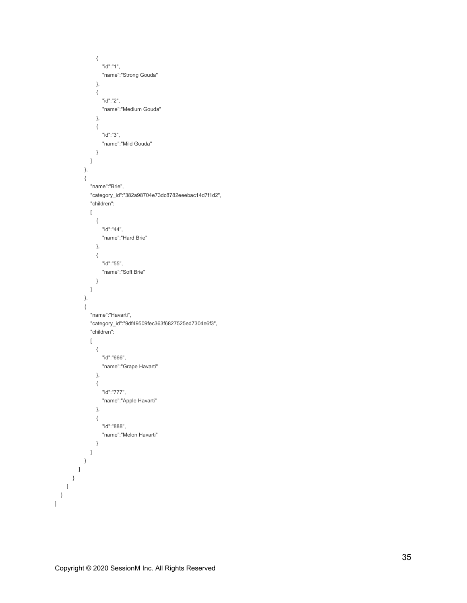```
{
                "id
":"
1
", "name":"Strong Gouda"
             }, \{"id
":"
2
", "name": "Medium Gouda"
             },{
                "id
":"
3
", "name":"Mild Gouda"
             }
          ]
        },{
           "name":"Brie",
           "category_id":"382a98704e73dc8782eeebac14d7f1d2",
           "children": \lceil{ "id":"44", "name":"Hard Brie" }, \{"id":"55", "name":"Soft Brie" } ]
        }, \{"name": "Havarti",
           "category_id":"9df49509fec363f6827525ed7304e6f3",
           "children": [ { "id":"666", "name":"Grape Havarti" },{ "id":"777", "name":"Apple Havarti" }, \{"id":"888", "name":"Melon Havarti" } ]
       }
     ]
  }
\, \, \,
```
}  $\begin{array}{c} \hline \end{array}$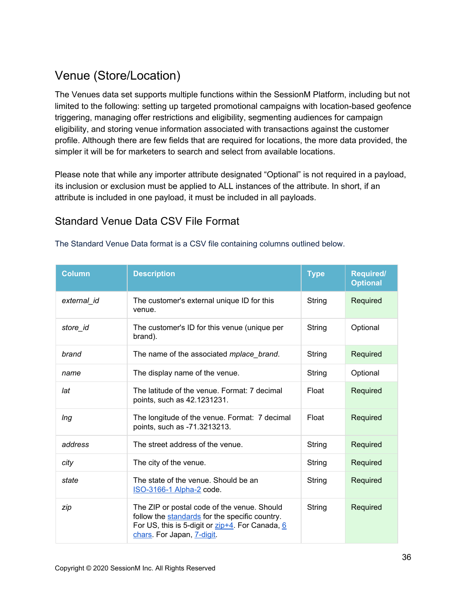# <span id="page-36-0"></span>Venue (Store/Location)

The Venues data set supports multiple functions within the SessionM Platform, including but not limited to the following: setting up targeted promotional campaigns with location-based geofence triggering, managing offer restrictions and eligibility, segmenting audiences for campaign eligibility, and storing venue information associated with transactions against the customer profile. Although there are few fields that are required for locations, the more data provided, the simpler it will be for marketers to search and select from available locations.

Please note that while any importer attribute designated "Optional" is not required in a payload, its inclusion or exclusion must be applied to ALL instances of the attribute. In short, if an attribute is included in one payload, it must be included in all payloads.

### <span id="page-36-1"></span>Standard Venue Data CSV File Format

**Column Description Type Required/ Optional** *external\_id* The customer's external unique ID for this venue. String **Required** *store id* The customer's ID for this venue (unique per brand). String Optional **brand** The name of the associated *mplace brand*. String Required **name** The display name of the venue. String Optional *lat* The latitude of the venue. Format: 7 decimal points, such as 42.1231231. Float Required *lng* The longitude of the venue. Format: 7 decimal points, such as -71.3213213. Float Required address and The street address of the venue. String Required *city* The city of the venue. String Required **state** The state of the venue. Should be an [ISO-3166-1](https://en.wikipedia.org/wiki/ISO_3166-1_alpha-2) Alpha-2 code. String Required zip The ZIP or postal code of the venue. Should follow the [standards](https://en.wikipedia.org/wiki/Postal_code) for the specific country. For US, this is 5-digit or [zip+4](https://en.wikipedia.org/wiki/ZIP_Code#ZIP.2B4). For Canada, [6](https://en.wikipedia.org/wiki/Postal_codes_in_Canada) [chars.](https://en.wikipedia.org/wiki/Postal_codes_in_Canada) For Japan, [7-digit.](https://en.wikipedia.org/wiki/Postal_codes_in_Japan) String Required

The Standard Venue Data format is a CSV file containing columns outlined below.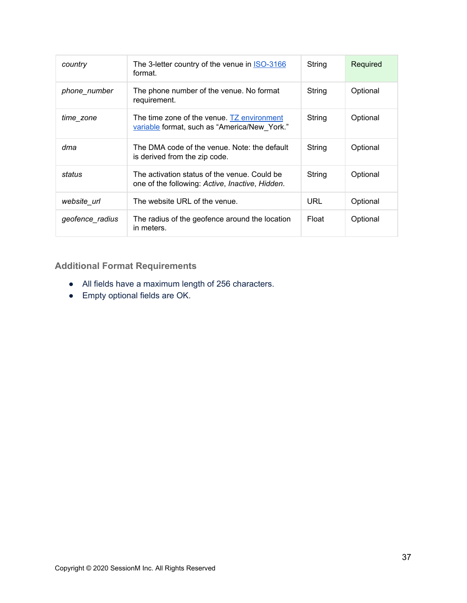| country         | The 3-letter country of the venue in <b>ISO-3166</b><br>format.                                 | String | Required |
|-----------------|-------------------------------------------------------------------------------------------------|--------|----------|
| phone_number    | The phone number of the venue. No format<br>requirement.                                        | String | Optional |
| time zone       | The time zone of the venue. TZ environment<br>variable format, such as "America/New York."      | String | Optional |
| dma             | The DMA code of the venue. Note: the default<br>is derived from the zip code.                   | String | Optional |
| status          | The activation status of the venue. Could be<br>one of the following: Active, Inactive, Hidden. | String | Optional |
| website_url     | The website URL of the venue.                                                                   | URL    | Optional |
| geofence_radius | The radius of the geofence around the location<br>in meters.                                    | Float  | Optional |

### <span id="page-37-0"></span>**Additional Format Requirements**

- All fields have a maximum length of 256 characters.
- Empty optional fields are OK.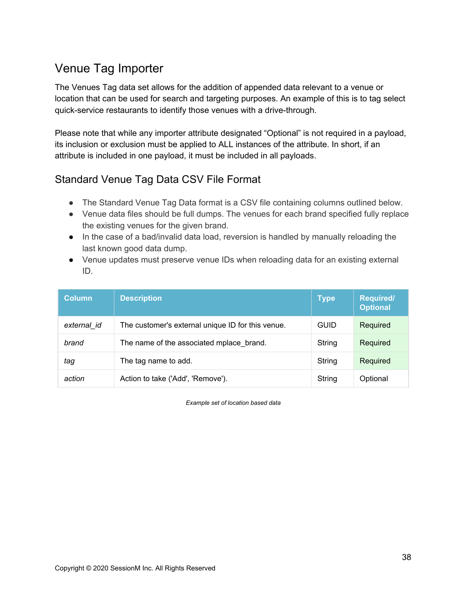# <span id="page-38-0"></span>Venue Tag Importer

The Venues Tag data set allows for the addition of appended data relevant to a venue or location that can be used for search and targeting purposes. An example of this is to tag select quick-service restaurants to identify those venues with a drive-through.

Please note that while any importer attribute designated "Optional" is not required in a payload, its inclusion or exclusion must be applied to ALL instances of the attribute. In short, if an attribute is included in one payload, it must be included in all payloads.

## <span id="page-38-1"></span>Standard Venue Tag Data CSV File Format

- The Standard Venue Tag Data format is a CSV file containing columns outlined below.
- Venue data files should be full dumps. The venues for each brand specified fully replace the existing venues for the given brand.
- In the case of a bad/invalid data load, reversion is handled by manually reloading the last known good data dump.
- Venue updates must preserve venue IDs when reloading data for an existing external ID.

| <b>Column</b> | <b>Description</b>                                | <b>Type</b> | <b>Required/</b><br><b>Optional</b> |
|---------------|---------------------------------------------------|-------------|-------------------------------------|
| external id   | The customer's external unique ID for this venue. | <b>GUID</b> | Required                            |
| brand         | The name of the associated mplace brand.          | String      | Required                            |
| tag           | The tag name to add.                              | String      | Required                            |
| action        | Action to take ('Add', 'Remove').                 | String      | Optional                            |

*Example set of location based data*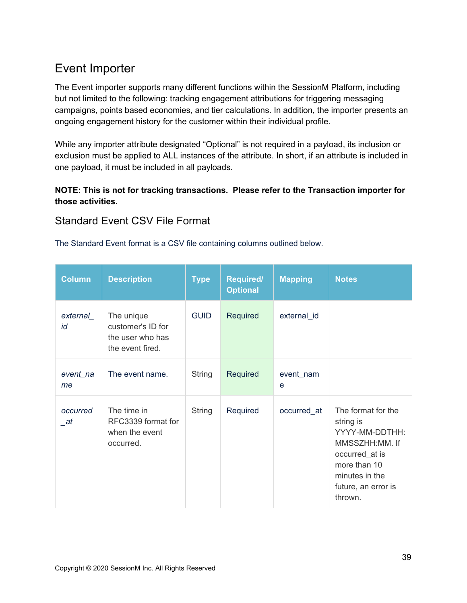# <span id="page-39-0"></span>Event Importer

The Event importer supports many different functions within the SessionM Platform, including but not limited to the following: tracking engagement attributions for triggering messaging campaigns, points based economies, and tier calculations. In addition, the importer presents an ongoing engagement history for the customer within their individual profile.

While any importer attribute designated "Optional" is not required in a payload, its inclusion or exclusion must be applied to ALL instances of the attribute. In short, if an attribute is included in one payload, it must be included in all payloads.

#### **NOTE: This is not for tracking transactions. Please refer to the Transaction importer for those activities.**

### <span id="page-39-1"></span>Standard Event CSV File Format

The Standard Event format is a CSV file containing columns outlined below.

| <b>Column</b>      | <b>Description</b>                                                      | <b>Type</b>   | Required/<br><b>Optional</b> | <b>Mapping</b> | <b>Notes</b>                                                                                                                                              |
|--------------------|-------------------------------------------------------------------------|---------------|------------------------------|----------------|-----------------------------------------------------------------------------------------------------------------------------------------------------------|
| external<br>id     | The unique<br>customer's ID for<br>the user who has<br>the event fired. | <b>GUID</b>   | Required                     | external id    |                                                                                                                                                           |
| event_na<br>me     | The event name.                                                         | <b>String</b> | Required                     | event_nam<br>e |                                                                                                                                                           |
| occurred<br>$\_at$ | The time in<br>RFC3339 format for<br>when the event<br>occurred.        | <b>String</b> | Required                     | occurred_at    | The format for the<br>string is<br>YYYY-MM-DDTHH:<br>MMSSZHH:MM. If<br>occurred_at is<br>more than 10<br>minutes in the<br>future, an error is<br>thrown. |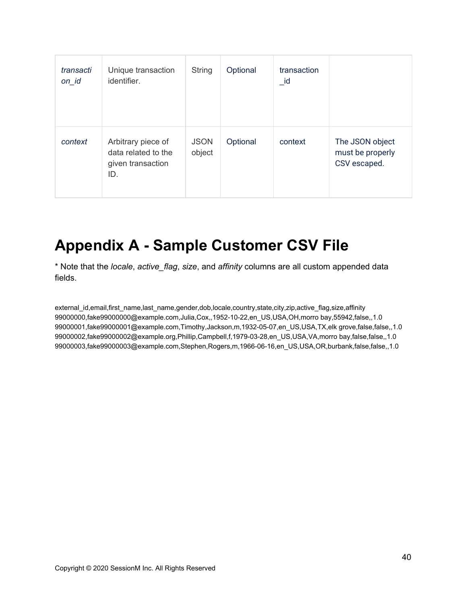| transacti<br>on id | Unique transaction<br>identifier.                                     | <b>String</b>         | Optional | transaction<br>$\overline{\phantom{a}}$ id |                                                     |
|--------------------|-----------------------------------------------------------------------|-----------------------|----------|--------------------------------------------|-----------------------------------------------------|
| context            | Arbitrary piece of<br>data related to the<br>given transaction<br>ID. | <b>JSON</b><br>object | Optional | context                                    | The JSON object<br>must be properly<br>CSV escaped. |

# <span id="page-40-0"></span>**Appendix A - Sample Customer CSV File**

\* Note that the *locale*, *active\_flag*, *size*, and *affinity* columns are all custom appended data fields.

external\_id,email,first\_name,last\_name,gender,dob,locale,country,state,city,zip,active\_flag,size,affinity 99000000,fake99000000@example.com,Julia,Cox,,1952-10-22,en\_US,USA,OH,morro bay,55942,false,,1.0 99000001,fake99000001@example.com,Timothy,Jackson,m,1932-05-07,en\_US,USA,TX,elk grove,false,false,,1.0 99000002,fake99000002@example.org,Phillip,Campbell,f,1979-03-28,en\_US,USA,VA,morro bay,false,false,,1.0 99000003,fake99000003@example.com,Stephen,Rogers,m,1966-06-16,en\_US,USA,OR,burbank,false,false,,1.0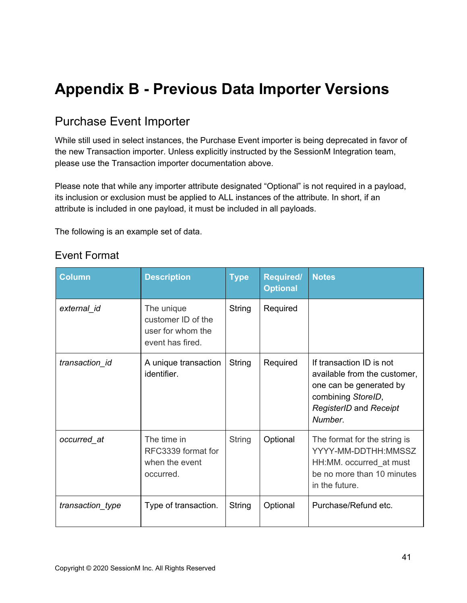# <span id="page-41-0"></span>**Appendix B - Previous Data Importer Versions**

# <span id="page-41-1"></span>Purchase Event Importer

While still used in select instances, the Purchase Event importer is being deprecated in favor of the new Transaction importer. Unless explicitly instructed by the SessionM Integration team, please use the Transaction importer documentation above.

Please note that while any importer attribute designated "Optional" is not required in a payload, its inclusion or exclusion must be applied to ALL instances of the attribute. In short, if an attribute is included in one payload, it must be included in all payloads.

The following is an example set of data.

| <b>Column</b>    | <b>Description</b>                                                        | <b>Type</b>   | <b>Required/</b><br><b>Optional</b> | <b>Notes</b>                                                                                                                                   |
|------------------|---------------------------------------------------------------------------|---------------|-------------------------------------|------------------------------------------------------------------------------------------------------------------------------------------------|
| external_id      | The unique<br>customer ID of the<br>user for whom the<br>event has fired. | String        | Required                            |                                                                                                                                                |
| transaction_id   | A unique transaction<br>identifier.                                       | String        | Required                            | If transaction ID is not<br>available from the customer,<br>one can be generated by<br>combining StoreID,<br>RegisterID and Receipt<br>Number. |
| occurred_at      | The time in<br>RFC3339 format for<br>when the event<br>occurred.          | <b>String</b> | Optional                            | The format for the string is<br>YYYY-MM-DDTHH:MMSSZ<br>HH:MM. occurred_at must<br>be no more than 10 minutes<br>in the future.                 |
| transaction_type | Type of transaction.                                                      | String        | Optional                            | Purchase/Refund etc.                                                                                                                           |

#### <span id="page-41-2"></span>Event Format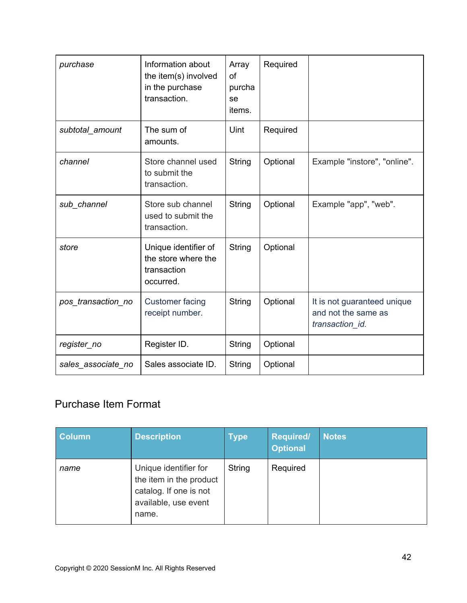| purchase           | Information about<br>the item(s) involved<br>in the purchase<br>transaction. | Array<br>of<br>purcha<br>se<br>items. | Required |                                                                       |
|--------------------|------------------------------------------------------------------------------|---------------------------------------|----------|-----------------------------------------------------------------------|
| subtotal_amount    | The sum of<br>amounts.                                                       | Uint                                  | Required |                                                                       |
| channel            | Store channel used<br>to submit the<br>transaction.                          | String                                | Optional | Example "instore", "online".                                          |
| sub_channel        | Store sub channel<br>used to submit the<br>transaction.                      | String                                | Optional | Example "app", "web".                                                 |
| store              | Unique identifier of<br>the store where the<br>transaction<br>occurred.      | String                                | Optional |                                                                       |
| pos transaction no | <b>Customer facing</b><br>receipt number.                                    | String                                | Optional | It is not guaranteed unique<br>and not the same as<br>transaction_id. |
| register no        | Register ID.                                                                 | String                                | Optional |                                                                       |
| sales_associate_no | Sales associate ID.                                                          | String                                | Optional |                                                                       |

# <span id="page-42-0"></span>Purchase Item Format

| <b>Column</b> | <b>Description</b>                                                                                          | <b>Type</b> | <b>Required/</b><br><b>Optional</b> | <b>Notes</b> |
|---------------|-------------------------------------------------------------------------------------------------------------|-------------|-------------------------------------|--------------|
| name          | Unique identifier for<br>the item in the product<br>catalog. If one is not<br>available, use event<br>name. | String      | Required                            |              |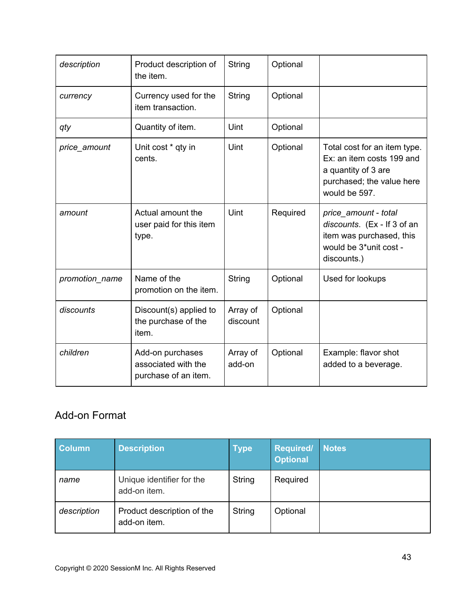| description    | Product description of<br>the item.                             | String               | Optional |                                                                                                                                |
|----------------|-----------------------------------------------------------------|----------------------|----------|--------------------------------------------------------------------------------------------------------------------------------|
| currency       | Currency used for the<br>item transaction.                      | String               | Optional |                                                                                                                                |
| qty            | Quantity of item.                                               | Uint                 | Optional |                                                                                                                                |
| price_amount   | Unit cost * qty in<br>cents.                                    | Uint                 | Optional | Total cost for an item type.<br>Ex: an item costs 199 and<br>a quantity of 3 are<br>purchased; the value here<br>would be 597. |
| amount         | Actual amount the<br>user paid for this item<br>type.           | Uint                 | Required | price_amount - total<br>discounts. (Ex - If 3 of an<br>item was purchased, this<br>would be 3*unit cost -<br>discounts.)       |
| promotion_name | Name of the<br>promotion on the item.                           | String               | Optional | Used for lookups                                                                                                               |
| discounts      | Discount(s) applied to<br>the purchase of the<br>item.          | Array of<br>discount | Optional |                                                                                                                                |
| children       | Add-on purchases<br>associated with the<br>purchase of an item. | Array of<br>add-on   | Optional | Example: flavor shot<br>added to a beverage.                                                                                   |

# <span id="page-43-0"></span>Add-on Format

| <b>Column</b> | <b>Description</b>                         | <b>Type</b> | <b>Required/</b><br><b>Optional</b> | Notes |
|---------------|--------------------------------------------|-------------|-------------------------------------|-------|
| name          | Unique identifier for the<br>add-on item.  | String      | Required                            |       |
| description   | Product description of the<br>add-on item. | String      | Optional                            |       |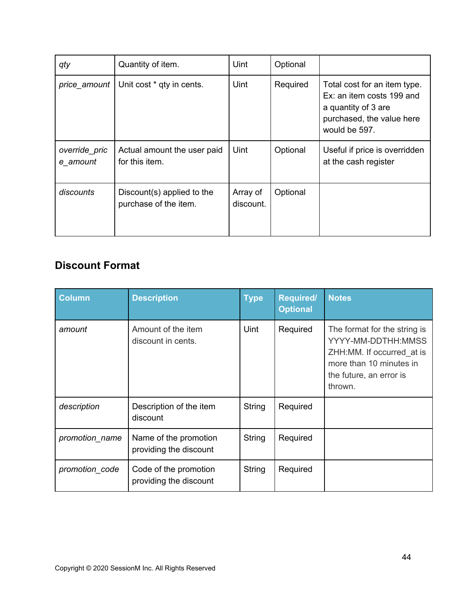| qty                       | Quantity of item.                                   | Uint                  | Optional |                                                                                                                                |
|---------------------------|-----------------------------------------------------|-----------------------|----------|--------------------------------------------------------------------------------------------------------------------------------|
| price_amount              | Unit cost * qty in cents.                           | Uint                  | Required | Total cost for an item type.<br>Ex: an item costs 199 and<br>a quantity of 3 are<br>purchased, the value here<br>would be 597. |
| override_pric<br>e amount | Actual amount the user paid<br>for this item.       | Uint                  | Optional | Useful if price is overridden<br>at the cash register                                                                          |
| discounts                 | Discount(s) applied to the<br>purchase of the item. | Array of<br>discount. | Optional |                                                                                                                                |

## <span id="page-44-0"></span>**Discount Format**

| <b>Column</b>  | <b>Description</b>                              | Type   | <b>Required/</b><br><b>Optional</b> | <b>Notes</b>                                                                                                                                     |
|----------------|-------------------------------------------------|--------|-------------------------------------|--------------------------------------------------------------------------------------------------------------------------------------------------|
| amount         | Amount of the item<br>discount in cents.        | Uint   | Required                            | The format for the string is<br>YYYY-MM-DDTHH:MMSS<br>ZHH:MM. If occurred at is<br>more than 10 minutes in<br>the future, an error is<br>thrown. |
| description    | Description of the item<br>discount             | String | Required                            |                                                                                                                                                  |
| promotion_name | Name of the promotion<br>providing the discount | String | Required                            |                                                                                                                                                  |
| promotion code | Code of the promotion<br>providing the discount | String | Required                            |                                                                                                                                                  |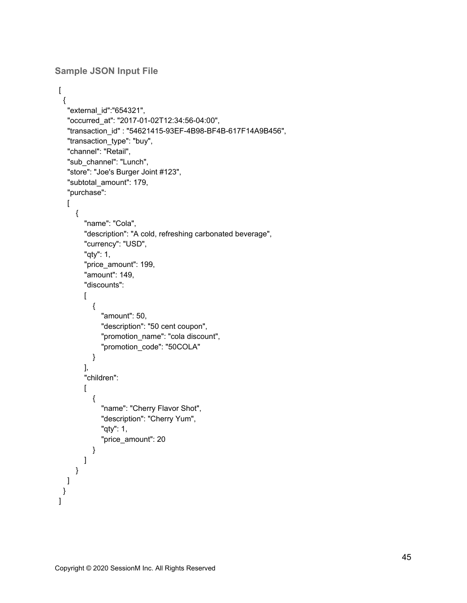<span id="page-45-0"></span>**Sample JSON Input File**

```
[
 {
  "external_id":"654321",
  "occurred_at": "2017-01-02T12:34:56-04:00",
  "transaction_id" : "54621415-93EF-4B98-BF4B-617F14A9B456",
  "transaction_type": "buy",
  "channel": "Retail",
  "sub_channel": "Lunch",
  "store": "Joe's Burger Joint #123",
  "subtotal_amount": 179,
  "purchase":
  \mathfrak{r}{
        "name": "Cola",
        "description": "A cold, refreshing carbonated beverage",
        "currency": "USD",
        "qty": 1,
        "price_amount": 199,
        "amount": 149,
        "discounts":
        \Gamma{
             "amount": 50,
             "description": "50 cent coupon",
             "promotion_name": "cola discount",
             "promotion_code": "50COLA"
          }
        ],
        "children":
        \overline{[}{
             "name": "Cherry Flavor Shot",
             "description": "Cherry Yum",
             "qty": 1,
             "price_amount": 20
          }
       ]
     }
  ]
 }
]
```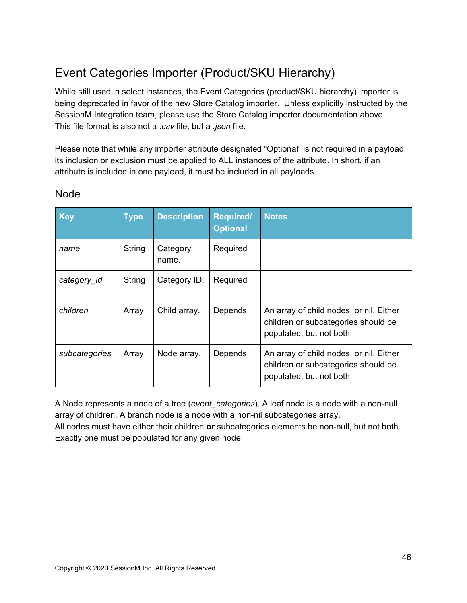# <span id="page-46-0"></span>Event Categories Importer (Product/SKU Hierarchy)

While still used in select instances, the Event Categories (product/SKU hierarchy) importer is being deprecated in favor of the new Store Catalog importer. Unless explicitly instructed by the SessionM Integration team, please use the Store Catalog importer documentation above. This file format is also not a *.csv* file, but a *.json* file.

Please note that while any importer attribute designated "Optional" is not required in a payload, its inclusion or exclusion must be applied to ALL instances of the attribute. In short, if an attribute is included in one payload, it must be included in all payloads.

| <b>Key</b>    | <b>Type</b> | <b>Description</b> | <b>Required/</b><br><b>Optional</b> | <b>Notes</b>                                                                                               |
|---------------|-------------|--------------------|-------------------------------------|------------------------------------------------------------------------------------------------------------|
| name          | String      | Category<br>name.  | Required                            |                                                                                                            |
| category id   | String      | Category ID.       | Required                            |                                                                                                            |
| children      | Array       | Child array.       | Depends                             | An array of child nodes, or nil. Either<br>children or subcategories should be<br>populated, but not both. |
| subcategories | Array       | Node array.        | Depends                             | An array of child nodes, or nil. Either<br>children or subcategories should be<br>populated, but not both. |

#### <span id="page-46-1"></span>Node

A Node represents a node of a tree (*event\_categories*). A leaf node is a node with a non-null array of children. A branch node is a node with a non-nil subcategories array.

All nodes must have either their children **or** subcategories elements be non-null, but not both. Exactly one must be populated for any given node.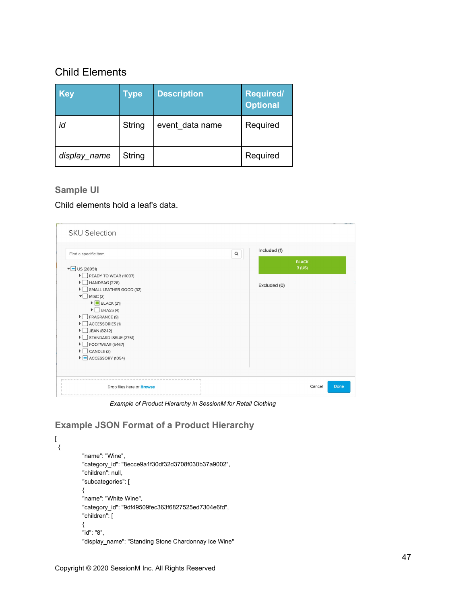### <span id="page-47-0"></span>Child Elements

| <b>Key</b>   | <b>Type</b> | <b>Description</b> | <b>Required/</b><br><b>Optional</b> |
|--------------|-------------|--------------------|-------------------------------------|
| id           | String      | event_data name    | Required                            |
| display_name | String      |                    | Required                            |

#### <span id="page-47-1"></span>**Sample UI**

 $\overline{\phantom{a}}$ {

#### Child elements hold a leaf's data.

| <b>SKU Selection</b>                                                                                                                                                                                                                                                                                                                                                                                                                                                                                    |             |                              |                          |
|---------------------------------------------------------------------------------------------------------------------------------------------------------------------------------------------------------------------------------------------------------------------------------------------------------------------------------------------------------------------------------------------------------------------------------------------------------------------------------------------------------|-------------|------------------------------|--------------------------|
| Find a specific item<br>$\overline{\phantom{0}}$ US (28951)<br>READY TO WEAR (11097)<br>$\blacktriangleright$ $\Box$ HANDBAG (226)<br>SMALL LEATHER GOOD (32)<br>$\blacktriangledown$ MISC (2)<br>$\blacktriangleright$ $\blacksquare$ BLACK (21)<br>$\blacktriangleright$ BRASS (4)<br>$\blacktriangleright$ $\Box$ FRAGRANCE (9)<br>$\blacktriangleright$ $\Box$ ACCESSORIES (1)<br>$\blacktriangleright$ $\Box$ JEAN (8242)<br>STANDARD ISSUE (2751)<br>$\blacktriangleright$ $\Box$ FOOTWEAR (5467) | $\mathsf Q$ | Included (1)<br>Excluded (0) | <b>BLACK</b><br>$3$ (US) |
| $\triangleright$ $\square$ CANDLE (2)<br>$\blacktriangleright$ $\blacksquare$ ACCESSORY (1054)<br>Drop files here or <b>Browse</b>                                                                                                                                                                                                                                                                                                                                                                      |             |                              | Cancel<br>Done           |

*Example of Product Hierarchy in SessionM for Retail Clothing*

#### <span id="page-47-2"></span>**Example JSON Format of a Product Hierarchy**

```
"name": "Wine",
"category_id": "8ecce9a1f30df32d3708f030b37a9002",
"children": null,
"subcategories": [
{
"name": "White Wine",
"category_id": "9df49509fec363f6827525ed7304e6fd",
"children": [
{
"id": "8",
"display_name": "Standing Stone Chardonnay Ice Wine"
```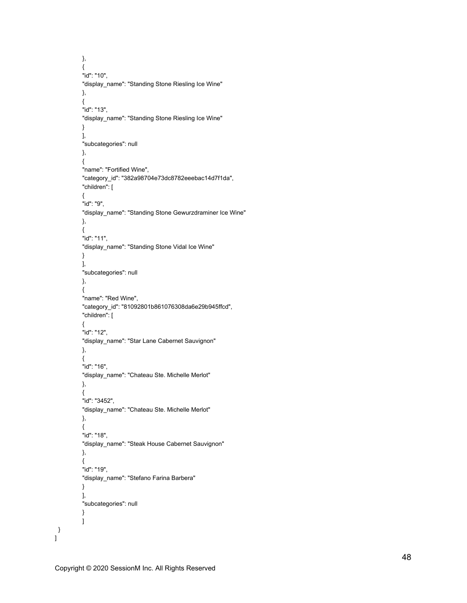```
},<br>{<br>"id": "10",
 "display_name": "Standing Stone Riesling Ice Wine"
 },<br>{<br>"id": "13",
 "display_name": "Standing Stone Riesling Ice Wine"
 }<br>],<br>"subcategories": null
 },<br>{<br>"name": "Fortified Wine",
 "category_id": "382a98704e73dc8782eeebac14d7f1da",
"children": [ {"id": "9", "display_name": "Standing Stone Gewurzdraminer Ice Win
e
"
 },<br>{<br>"id": "11",
 "display_name": "Standing Stone Vidal Ice Wine"
 }<br>],<br>"subcategories": null
},<br>{<br>"name": "Red Wine",
 "category_id": "81092801b861076308da6e29b945ffcd",
"children": [ {<br>"id": "12".
"display_name": "Star Lane Cabernet Sauvignon" },<br>{<br>"id": "16",
"display_name": "Chateau Ste. Michelle Merlot" },<br>{<br>"id": "3452",
"display_name": "Chateau Ste. Michelle Merlot" },<br>{<br>"id": "18",
"display_name": "Steak House Cabernet Sauvignon" },<br>{<br>"id": "19",
"display_name": "Stefano Farina Barbera" }<br>],<br>"subcategories": null
\mathcal{E}}]
\mathbf{I}
```
}  $\mathbf{I}$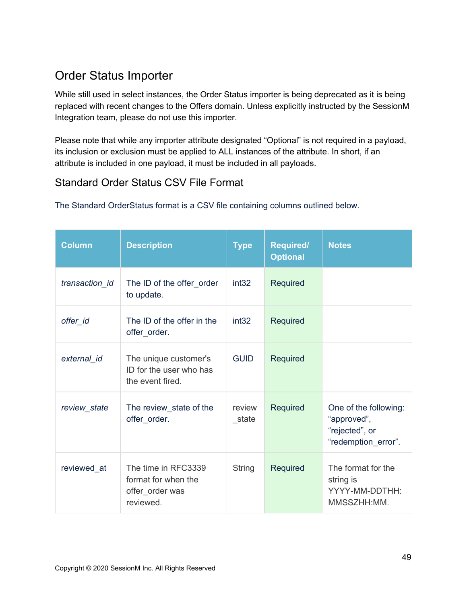# <span id="page-49-0"></span>Order Status Importer

While still used in select instances, the Order Status importer is being deprecated as it is being replaced with recent changes to the Offers domain. Unless explicitly instructed by the SessionM Integration team, please do not use this importer.

Please note that while any importer attribute designated "Optional" is not required in a payload, its inclusion or exclusion must be applied to ALL instances of the attribute. In short, if an attribute is included in one payload, it must be included in all payloads.

### <span id="page-49-1"></span>Standard Order Status CSV File Format

| <b>Column</b>  | <b>Description</b>                                                         | <b>Type</b>     | <b>Required/</b><br><b>Optional</b> | <b>Notes</b>                                                                  |
|----------------|----------------------------------------------------------------------------|-----------------|-------------------------------------|-------------------------------------------------------------------------------|
| transaction_id | The ID of the offer_order<br>to update.                                    | int32           | <b>Required</b>                     |                                                                               |
| offer_id       | The ID of the offer in the<br>offer_order.                                 | int32           | <b>Required</b>                     |                                                                               |
| external_id    | The unique customer's<br>ID for the user who has<br>the event fired.       | <b>GUID</b>     | <b>Required</b>                     |                                                                               |
| review_state   | The review_state of the<br>offer_order.                                    | review<br>state | <b>Required</b>                     | One of the following:<br>"approved",<br>"rejected", or<br>"redemption_error". |
| reviewed at    | The time in RFC3339<br>format for when the<br>offer_order was<br>reviewed. | <b>String</b>   | <b>Required</b>                     | The format for the<br>string is<br>YYYY-MM-DDTHH:<br>MMSSZHH:MM.              |

The Standard OrderStatus format is a CSV file containing columns outlined below.